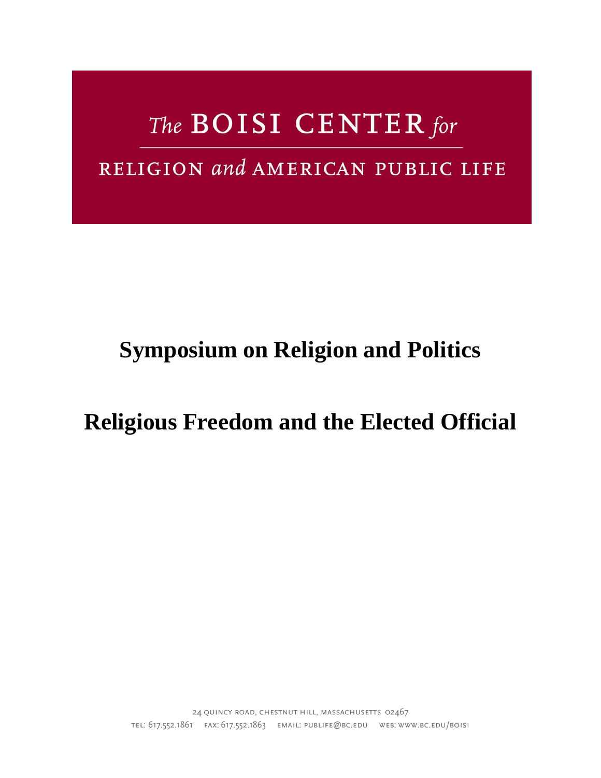# The BOISI CENTER for

RELIGION and AMERICAN PUBLIC LIFE

## **Symposium on Religion and Politics**

## **Religious Freedom and the Elected Official**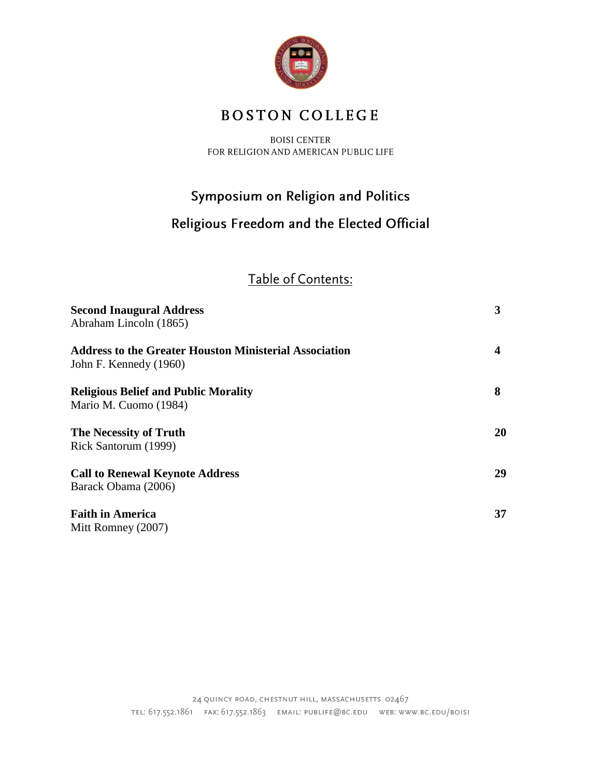

### **BOSTON COLLEGE**

**BOISI CENTER** FOR RELIGION AND AMERICAN PUBLIC LIFE

## Symposium on Religion and Politics

## Religious Freedom and the Elected Official

### Table of Contents:

| <b>Second Inaugural Address</b><br>Abraham Lincoln (1865)                               | 3  |
|-----------------------------------------------------------------------------------------|----|
| <b>Address to the Greater Houston Ministerial Association</b><br>John F. Kennedy (1960) | 4  |
| <b>Religious Belief and Public Morality</b><br>Mario M. Cuomo (1984)                    | 8  |
| The Necessity of Truth<br>Rick Santorum (1999)                                          | 20 |
| <b>Call to Renewal Keynote Address</b><br>Barack Obama (2006)                           | 29 |
| <b>Faith in America</b><br>Mitt Romney (2007)                                           | 37 |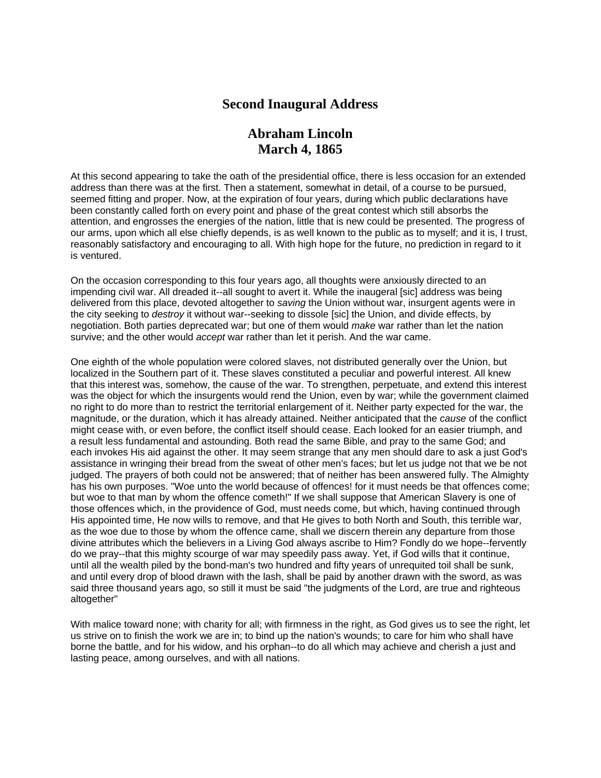#### **Second Inaugural Address**

#### **Abraham Lincoln March 4, 1865**

At this second appearing to take the oath of the presidential office, there is less occasion for an extended address than there was at the first. Then a statement, somewhat in detail, of a course to be pursued, seemed fitting and proper. Now, at the expiration of four years, during which public declarations have been constantly called forth on every point and phase of the great contest which still absorbs the attention, and engrosses the energies of the nation, little that is new could be presented. The progress of our arms, upon which all else chiefly depends, is as well known to the public as to myself; and it is, I trust, reasonably satisfactory and encouraging to all. With high hope for the future, no prediction in regard to it is ventured.

On the occasion corresponding to this four years ago, all thoughts were anxiously directed to an impending civil war. All dreaded it--all sought to avert it. While the inaugeral [sic] address was being delivered from this place, devoted altogether to *saving* the Union without war, insurgent agents were in the city seeking to *destroy* it without war--seeking to dissole [sic] the Union, and divide effects, by negotiation. Both parties deprecated war; but one of them would *make* war rather than let the nation survive; and the other would *accept* war rather than let it perish. And the war came.

One eighth of the whole population were colored slaves, not distributed generally over the Union, but localized in the Southern part of it. These slaves constituted a peculiar and powerful interest. All knew that this interest was, somehow, the cause of the war. To strengthen, perpetuate, and extend this interest was the object for which the insurgents would rend the Union, even by war; while the government claimed no right to do more than to restrict the territorial enlargement of it. Neither party expected for the war, the magnitude, or the duration, which it has already attained. Neither anticipated that the *cause* of the conflict might cease with, or even before, the conflict itself should cease. Each looked for an easier triumph, and a result less fundamental and astounding. Both read the same Bible, and pray to the same God; and each invokes His aid against the other. It may seem strange that any men should dare to ask a just God's assistance in wringing their bread from the sweat of other men's faces; but let us judge not that we be not judged. The prayers of both could not be answered; that of neither has been answered fully. The Almighty has his own purposes. "Woe unto the world because of offences! for it must needs be that offences come; but woe to that man by whom the offence cometh!" If we shall suppose that American Slavery is one of those offences which, in the providence of God, must needs come, but which, having continued through His appointed time, He now wills to remove, and that He gives to both North and South, this terrible war, as the woe due to those by whom the offence came, shall we discern therein any departure from those divine attributes which the believers in a Living God always ascribe to Him? Fondly do we hope--fervently do we pray--that this mighty scourge of war may speedily pass away. Yet, if God wills that it continue, until all the wealth piled by the bond-man's two hundred and fifty years of unrequited toil shall be sunk, and until every drop of blood drawn with the lash, shall be paid by another drawn with the sword, as was said three thousand years ago, so still it must be said "the judgments of the Lord, are true and righteous altogether"

With malice toward none; with charity for all; with firmness in the right, as God gives us to see the right, let us strive on to finish the work we are in; to bind up the nation's wounds; to care for him who shall have borne the battle, and for his widow, and his orphan--to do all which may achieve and cherish a just and lasting peace, among ourselves, and with all nations.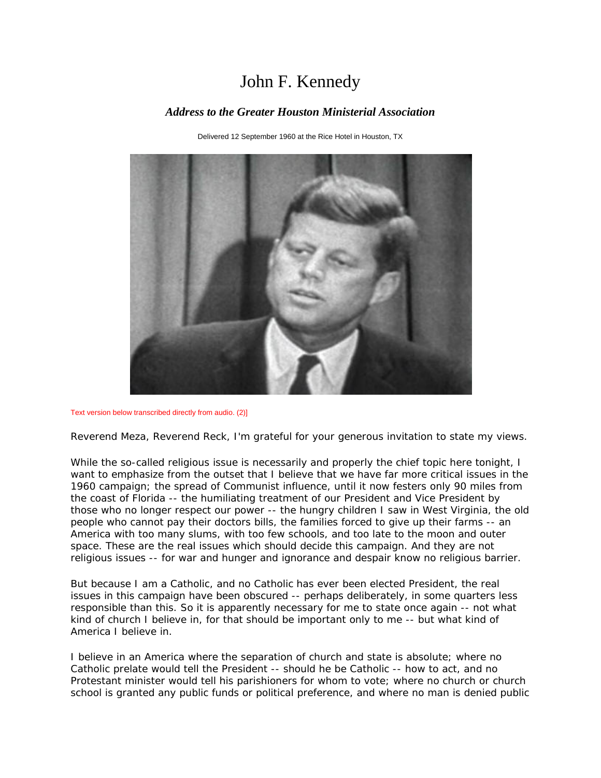## John F. Kennedy

#### *Address to the Greater Houston Ministerial Association*

Delivered 12 September 1960 at the Rice Hotel in Houston, TX



Text version below transcribed directly from audio. (2)]

Reverend Meza, Reverend Reck, I'm grateful for your generous invitation to state my views.

While the so-called religious issue is necessarily and properly the chief topic here tonight, I want to emphasize from the outset that I believe that we have far more critical issues in the 1960 campaign; the spread of Communist influence, until it now festers only 90 miles from the coast of Florida -- the humiliating treatment of our President and Vice President by those who no longer respect our power -- the hungry children I saw in West Virginia, the old people who cannot pay their doctors bills, the families forced to give up their farms -- an America with too many slums, with too few schools, and too late to the moon and outer space. These are the real issues which should decide this campaign. And they are not religious issues -- for war and hunger and ignorance and despair know no religious barrier.

But because I am a Catholic, and no Catholic has ever been elected President, the real issues in this campaign have been obscured -- perhaps deliberately, in some quarters less responsible than this. So it is apparently necessary for me to state once again -- not what kind of church I believe in, for that should be important only to me -- but what kind of America I believe in.

I believe in an America where the separation of church and state is absolute; where no Catholic prelate would tell the President -- should he be Catholic -- how to act, and no Protestant minister would tell his parishioners for whom to vote; where no church or church school is granted any public funds or political preference, and where no man is denied public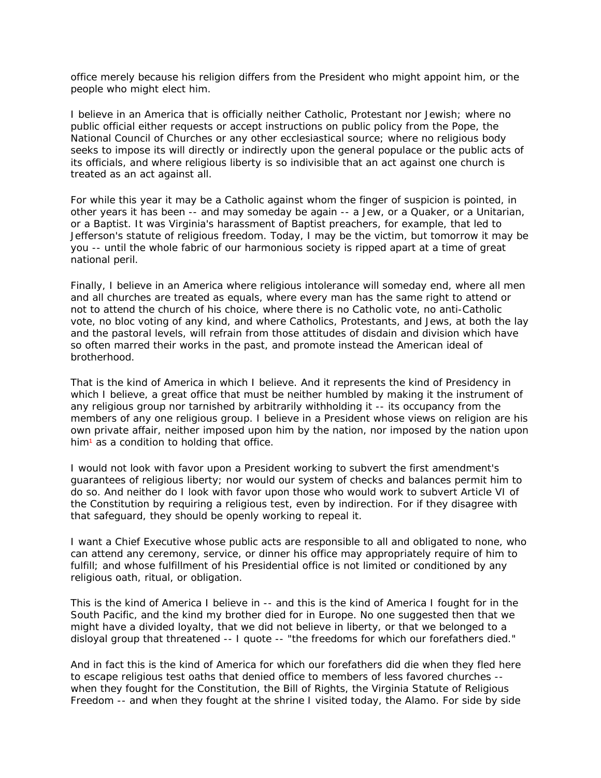office merely because his religion differs from the President who might appoint him, or the people who might elect him.

I believe in an America that is officially neither Catholic, Protestant nor Jewish; where no public official either requests or accept instructions on public policy from the Pope, the National Council of Churches or any other ecclesiastical source; where no religious body seeks to impose its will directly or indirectly upon the general populace or the public acts of its officials, and where religious liberty is so indivisible that an act against one church is treated as an act against all.

For while this year it may be a Catholic against whom the finger of suspicion is pointed, in other years it has been -- and may someday be again -- a Jew, or a Quaker, or a Unitarian, or a Baptist. It was Virginia's harassment of Baptist preachers, for example, that led to Jefferson's statute of religious freedom. Today, I may be the victim, but tomorrow it may be you -- until the whole fabric of our harmonious society is ripped apart at a time of great national peril.

Finally, I believe in an America where religious intolerance will someday end, where all men and all churches are treated as equals, where every man has the same right to attend or not to attend the church of his choice, where there is no Catholic vote, no anti-Catholic vote, no bloc voting of any kind, and where Catholics, Protestants, and Jews, at both the lay and the pastoral levels, will refrain from those attitudes of disdain and division which have so often marred their works in the past, and promote instead the American ideal of brotherhood.

That is the kind of America in which I believe. And it represents the kind of Presidency in which I believe, a great office that must be neither humbled by making it the instrument of any religious group nor tarnished by arbitrarily withholding it -- its occupancy from the members of any one religious group. I believe in a President whose views on religion are his own private affair, neither imposed upon him by the nation, nor imposed by the nation upon  $him<sup>1</sup>$  as a condition to holding that office.

I would not look with favor upon a President working to subvert the first amendment's guarantees of religious liberty; nor would our system of checks and balances permit him to do so. And neither do I look with favor upon those who would work to subvert Article VI of the Constitution by requiring a religious test, even by indirection. For if they disagree with that safeguard, they should be openly working to repeal it.

I want a Chief Executive whose public acts are responsible to all and obligated to none, who can attend any ceremony, service, or dinner his office may appropriately require of him to fulfill; and whose fulfillment of his Presidential office is not limited or conditioned by any religious oath, ritual, or obligation.

This is the kind of America I believe in -- and this is the kind of America I fought for in the South Pacific, and the kind my brother died for in Europe. No one suggested then that we might have a divided loyalty, that we did not believe in liberty, or that we belonged to a disloyal group that threatened -- I quote -- "the freedoms for which our forefathers died."

And in fact this is the kind of America for which our forefathers did die when they fled here to escape religious test oaths that denied office to members of less favored churches - when they fought for the Constitution, the Bill of Rights, the Virginia Statute of Religious Freedom -- and when they fought at the shrine I visited today, the Alamo. For side by side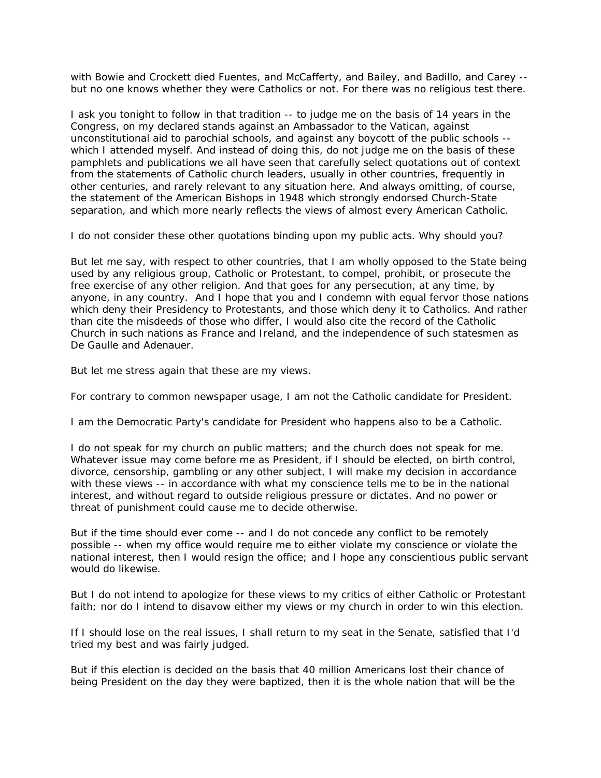with Bowie and Crockett died Fuentes, and McCafferty, and Bailey, and Badillo, and Carey - but no one knows whether they were Catholics or not. For there was no religious test there.

I ask you tonight to follow in that tradition -- to judge me on the basis of 14 years in the Congress, on my declared stands against an Ambassador to the Vatican, against unconstitutional aid to parochial schools, and against any boycott of the public schools - which I attended myself. And instead of doing this, do not judge me on the basis of these pamphlets and publications we all have seen that carefully select quotations out of context from the statements of Catholic church leaders, usually in other countries, frequently in other centuries, and rarely relevant to any situation here. And always omitting, of course, the statement of the American Bishops in 1948 which strongly endorsed Church-State separation, and which more nearly reflects the views of almost every American Catholic.

I do not consider these other quotations binding upon my public acts. Why should you?

But let me say, with respect to other countries, that I am wholly opposed to the State being used by any religious group, Catholic or Protestant, to compel, prohibit, or prosecute the free exercise of any other religion. And that goes for any persecution, at any time, by anyone, in any country. And I hope that you and I condemn with equal fervor those nations which deny their Presidency to Protestants, and those which deny it to Catholics. And rather than cite the misdeeds of those who differ, I would also cite the record of the Catholic Church in such nations as France and Ireland, and the independence of such statesmen as De Gaulle and Adenauer.

But let me stress again that these are my views.

For contrary to common newspaper usage, I am not the Catholic candidate for President.

I am the Democratic Party's candidate for President who happens also to be a Catholic.

I do not speak for my church on public matters; and the church does not speak for me. Whatever issue may come before me as President, if I should be elected, on birth control, divorce, censorship, gambling or any other subject, I will make my decision in accordance with these views -- in accordance with what my conscience tells me to be in the national interest, and without regard to outside religious pressure or dictates. And no power or threat of punishment could cause me to decide otherwise.

But if the time should ever come -- and I do not concede any conflict to be remotely possible -- when my office would require me to either violate my conscience or violate the national interest, then I would resign the office; and I hope any conscientious public servant would do likewise.

But I do not intend to apologize for these views to my critics of either Catholic or Protestant faith; nor do I intend to disavow either my views or my church in order to win this election.

If I should lose on the real issues, I shall return to my seat in the Senate, satisfied that I'd tried my best and was fairly judged.

But if this election is decided on the basis that 40 million Americans lost their chance of being President on the day they were baptized, then it is the whole nation that will be the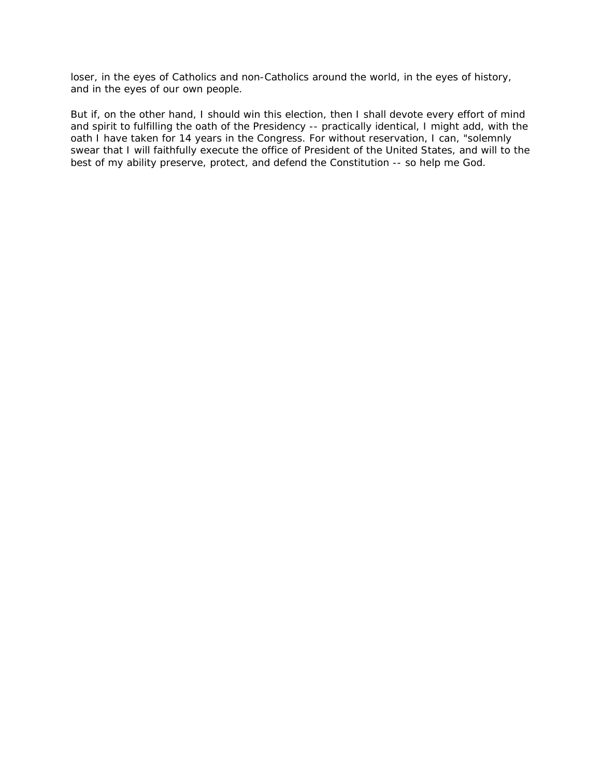loser, in the eyes of Catholics and non-Catholics around the world, in the eyes of history, and in the eyes of our own people.

But if, on the other hand, I should win this election, then I shall devote every effort of mind and spirit to fulfilling the oath of the Presidency -- practically identical, I might add, with the oath I have taken for 14 years in the Congress. For without reservation, I can, "solemnly swear that I will faithfully execute the office of President of the United States, and will to the best of my ability preserve, protect, and defend the Constitution -- so help me God.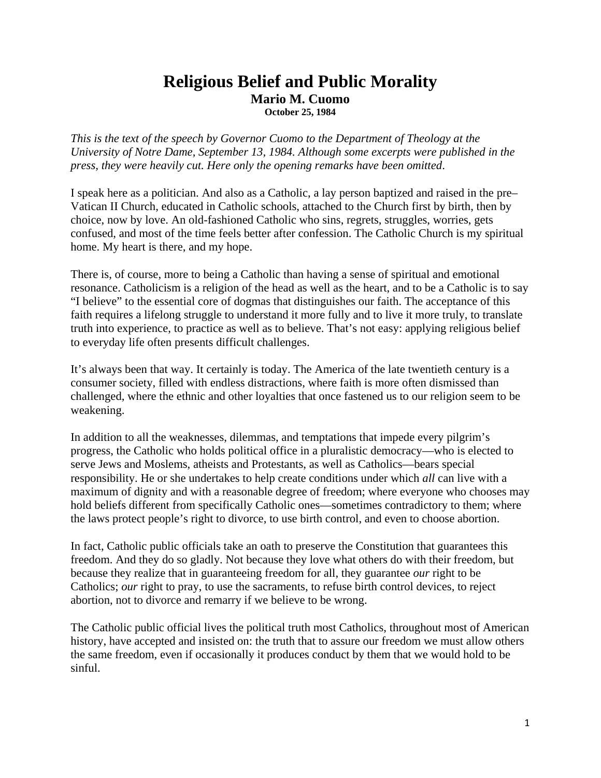### **Religious Belief and Public Morality Mario M. Cuomo October 25, 1984**

*This is the text of the speech by Governor Cuomo to the Department of Theology at the University of Notre Dame, September 13, 1984. Although some excerpts were published in the press, they were heavily cut. Here only the opening remarks have been omitted*.

I speak here as a politician. And also as a Catholic, a lay person baptized and raised in the pre– Vatican II Church, educated in Catholic schools, attached to the Church first by birth, then by choice, now by love. An old-fashioned Catholic who sins, regrets, struggles, worries, gets confused, and most of the time feels better after confession. The Catholic Church is my spiritual home. My heart is there, and my hope.

There is, of course, more to being a Catholic than having a sense of spiritual and emotional resonance. Catholicism is a religion of the head as well as the heart, and to be a Catholic is to say "I believe" to the essential core of dogmas that distinguishes our faith. The acceptance of this faith requires a lifelong struggle to understand it more fully and to live it more truly, to translate truth into experience, to practice as well as to believe. That's not easy: applying religious belief to everyday life often presents difficult challenges.

It's always been that way. It certainly is today. The America of the late twentieth century is a consumer society, filled with endless distractions, where faith is more often dismissed than challenged, where the ethnic and other loyalties that once fastened us to our religion seem to be weakening.

In addition to all the weaknesses, dilemmas, and temptations that impede every pilgrim's progress, the Catholic who holds political office in a pluralistic democracy—who is elected to serve Jews and Moslems, atheists and Protestants, as well as Catholics—bears special responsibility. He or she undertakes to help create conditions under which *all* can live with a maximum of dignity and with a reasonable degree of freedom; where everyone who chooses may hold beliefs different from specifically Catholic ones—sometimes contradictory to them; where the laws protect people's right to divorce, to use birth control, and even to choose abortion.

In fact, Catholic public officials take an oath to preserve the Constitution that guarantees this freedom. And they do so gladly. Not because they love what others do with their freedom, but because they realize that in guaranteeing freedom for all, they guarantee *our* right to be Catholics; *our* right to pray, to use the sacraments, to refuse birth control devices, to reject abortion, not to divorce and remarry if we believe to be wrong.

The Catholic public official lives the political truth most Catholics, throughout most of American history, have accepted and insisted on: the truth that to assure our freedom we must allow others the same freedom, even if occasionally it produces conduct by them that we would hold to be sinful.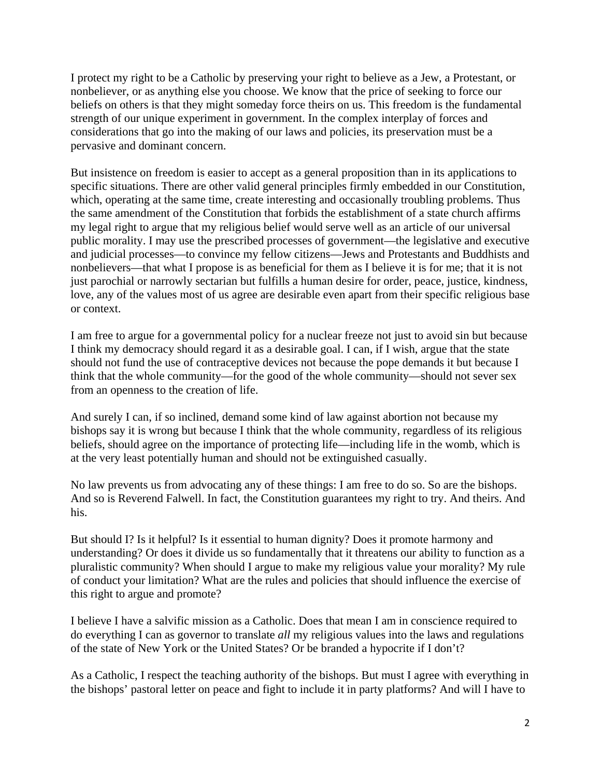I protect my right to be a Catholic by preserving your right to believe as a Jew, a Protestant, or nonbeliever, or as anything else you choose. We know that the price of seeking to force our beliefs on others is that they might someday force theirs on us. This freedom is the fundamental strength of our unique experiment in government. In the complex interplay of forces and considerations that go into the making of our laws and policies, its preservation must be a pervasive and dominant concern.

But insistence on freedom is easier to accept as a general proposition than in its applications to specific situations. There are other valid general principles firmly embedded in our Constitution, which, operating at the same time, create interesting and occasionally troubling problems. Thus the same amendment of the Constitution that forbids the establishment of a state church affirms my legal right to argue that my religious belief would serve well as an article of our universal public morality. I may use the prescribed processes of government—the legislative and executive and judicial processes—to convince my fellow citizens—Jews and Protestants and Buddhists and nonbelievers—that what I propose is as beneficial for them as I believe it is for me; that it is not just parochial or narrowly sectarian but fulfills a human desire for order, peace, justice, kindness, love, any of the values most of us agree are desirable even apart from their specific religious base or context.

I am free to argue for a governmental policy for a nuclear freeze not just to avoid sin but because I think my democracy should regard it as a desirable goal. I can, if I wish, argue that the state should not fund the use of contraceptive devices not because the pope demands it but because I think that the whole community—for the good of the whole community—should not sever sex from an openness to the creation of life.

And surely I can, if so inclined, demand some kind of law against abortion not because my bishops say it is wrong but because I think that the whole community, regardless of its religious beliefs, should agree on the importance of protecting life—including life in the womb, which is at the very least potentially human and should not be extinguished casually.

No law prevents us from advocating any of these things: I am free to do so. So are the bishops. And so is Reverend Falwell. In fact, the Constitution guarantees my right to try. And theirs. And his.

But should I? Is it helpful? Is it essential to human dignity? Does it promote harmony and understanding? Or does it divide us so fundamentally that it threatens our ability to function as a pluralistic community? When should I argue to make my religious value your morality? My rule of conduct your limitation? What are the rules and policies that should influence the exercise of this right to argue and promote?

I believe I have a salvific mission as a Catholic. Does that mean I am in conscience required to do everything I can as governor to translate *all* my religious values into the laws and regulations of the state of New York or the United States? Or be branded a hypocrite if I don't?

As a Catholic, I respect the teaching authority of the bishops. But must I agree with everything in the bishops' pastoral letter on peace and fight to include it in party platforms? And will I have to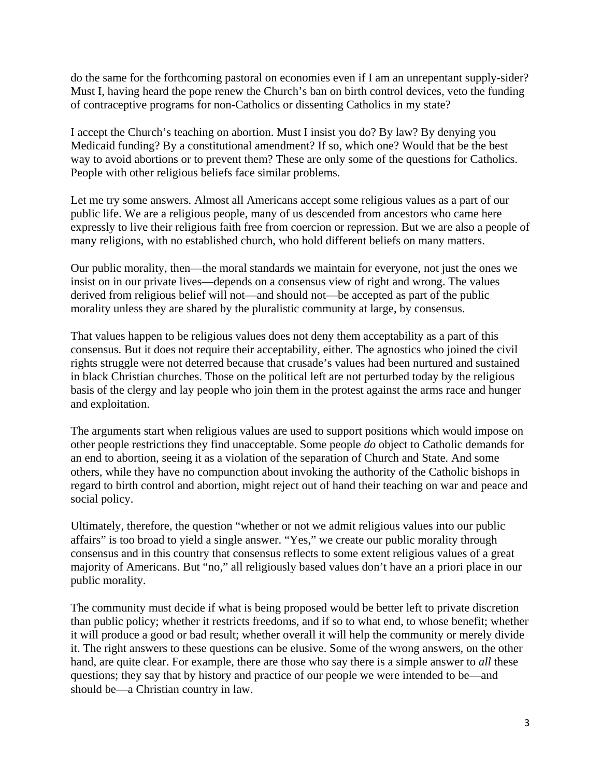do the same for the forthcoming pastoral on economies even if I am an unrepentant supply-sider? Must I, having heard the pope renew the Church's ban on birth control devices, veto the funding of contraceptive programs for non-Catholics or dissenting Catholics in my state?

I accept the Church's teaching on abortion. Must I insist you do? By law? By denying you Medicaid funding? By a constitutional amendment? If so, which one? Would that be the best way to avoid abortions or to prevent them? These are only some of the questions for Catholics. People with other religious beliefs face similar problems.

Let me try some answers. Almost all Americans accept some religious values as a part of our public life. We are a religious people, many of us descended from ancestors who came here expressly to live their religious faith free from coercion or repression. But we are also a people of many religions, with no established church, who hold different beliefs on many matters.

Our public morality, then—the moral standards we maintain for everyone, not just the ones we insist on in our private lives—depends on a consensus view of right and wrong. The values derived from religious belief will not—and should not—be accepted as part of the public morality unless they are shared by the pluralistic community at large, by consensus.

That values happen to be religious values does not deny them acceptability as a part of this consensus. But it does not require their acceptability, either. The agnostics who joined the civil rights struggle were not deterred because that crusade's values had been nurtured and sustained in black Christian churches. Those on the political left are not perturbed today by the religious basis of the clergy and lay people who join them in the protest against the arms race and hunger and exploitation.

The arguments start when religious values are used to support positions which would impose on other people restrictions they find unacceptable. Some people *do* object to Catholic demands for an end to abortion, seeing it as a violation of the separation of Church and State. And some others, while they have no compunction about invoking the authority of the Catholic bishops in regard to birth control and abortion, might reject out of hand their teaching on war and peace and social policy.

Ultimately, therefore, the question "whether or not we admit religious values into our public affairs" is too broad to yield a single answer. "Yes," we create our public morality through consensus and in this country that consensus reflects to some extent religious values of a great majority of Americans. But "no," all religiously based values don't have an a priori place in our public morality.

The community must decide if what is being proposed would be better left to private discretion than public policy; whether it restricts freedoms, and if so to what end, to whose benefit; whether it will produce a good or bad result; whether overall it will help the community or merely divide it. The right answers to these questions can be elusive. Some of the wrong answers, on the other hand, are quite clear. For example, there are those who say there is a simple answer to *all* these questions; they say that by history and practice of our people we were intended to be—and should be—a Christian country in law.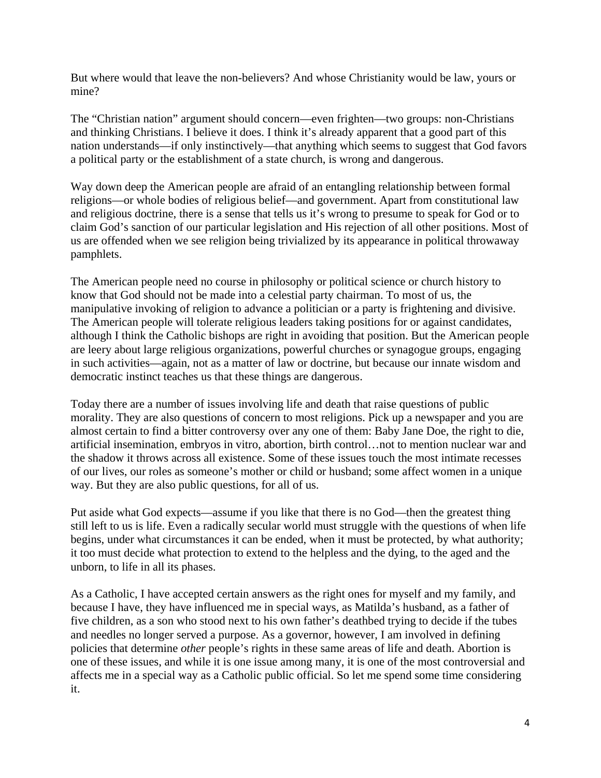But where would that leave the non-believers? And whose Christianity would be law, yours or mine?

The "Christian nation" argument should concern—even frighten—two groups: non-Christians and thinking Christians. I believe it does. I think it's already apparent that a good part of this nation understands—if only instinctively—that anything which seems to suggest that God favors a political party or the establishment of a state church, is wrong and dangerous.

Way down deep the American people are afraid of an entangling relationship between formal religions—or whole bodies of religious belief—and government. Apart from constitutional law and religious doctrine, there is a sense that tells us it's wrong to presume to speak for God or to claim God's sanction of our particular legislation and His rejection of all other positions. Most of us are offended when we see religion being trivialized by its appearance in political throwaway pamphlets.

The American people need no course in philosophy or political science or church history to know that God should not be made into a celestial party chairman. To most of us, the manipulative invoking of religion to advance a politician or a party is frightening and divisive. The American people will tolerate religious leaders taking positions for or against candidates, although I think the Catholic bishops are right in avoiding that position. But the American people are leery about large religious organizations, powerful churches or synagogue groups, engaging in such activities—again, not as a matter of law or doctrine, but because our innate wisdom and democratic instinct teaches us that these things are dangerous.

Today there are a number of issues involving life and death that raise questions of public morality. They are also questions of concern to most religions. Pick up a newspaper and you are almost certain to find a bitter controversy over any one of them: Baby Jane Doe, the right to die, artificial insemination, embryos in vitro, abortion, birth control…not to mention nuclear war and the shadow it throws across all existence. Some of these issues touch the most intimate recesses of our lives, our roles as someone's mother or child or husband; some affect women in a unique way. But they are also public questions, for all of us.

Put aside what God expects—assume if you like that there is no God—then the greatest thing still left to us is life. Even a radically secular world must struggle with the questions of when life begins, under what circumstances it can be ended, when it must be protected, by what authority; it too must decide what protection to extend to the helpless and the dying, to the aged and the unborn, to life in all its phases.

As a Catholic, I have accepted certain answers as the right ones for myself and my family, and because I have, they have influenced me in special ways, as Matilda's husband, as a father of five children, as a son who stood next to his own father's deathbed trying to decide if the tubes and needles no longer served a purpose. As a governor, however, I am involved in defining policies that determine *other* people's rights in these same areas of life and death. Abortion is one of these issues, and while it is one issue among many, it is one of the most controversial and affects me in a special way as a Catholic public official. So let me spend some time considering it.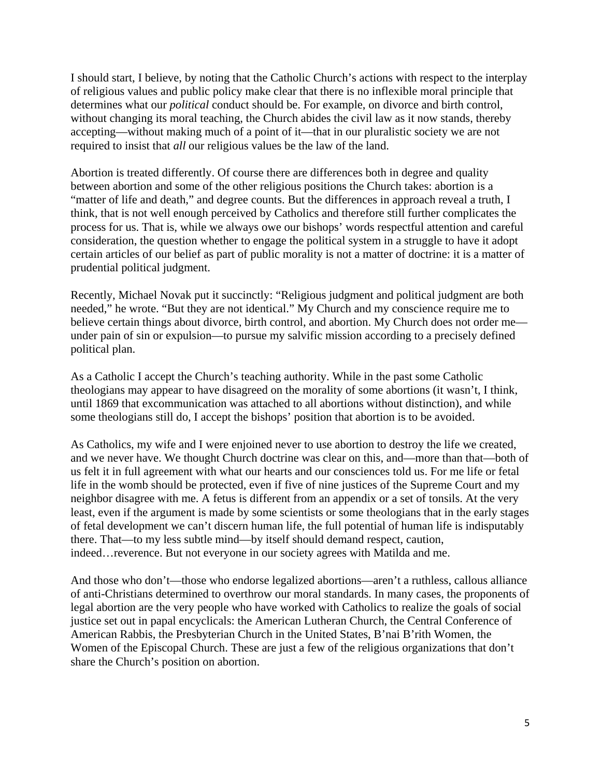I should start, I believe, by noting that the Catholic Church's actions with respect to the interplay of religious values and public policy make clear that there is no inflexible moral principle that determines what our *political* conduct should be. For example, on divorce and birth control, without changing its moral teaching, the Church abides the civil law as it now stands, thereby accepting—without making much of a point of it—that in our pluralistic society we are not required to insist that *all* our religious values be the law of the land.

Abortion is treated differently. Of course there are differences both in degree and quality between abortion and some of the other religious positions the Church takes: abortion is a "matter of life and death," and degree counts. But the differences in approach reveal a truth, I think, that is not well enough perceived by Catholics and therefore still further complicates the process for us. That is, while we always owe our bishops' words respectful attention and careful consideration, the question whether to engage the political system in a struggle to have it adopt certain articles of our belief as part of public morality is not a matter of doctrine: it is a matter of prudential political judgment.

Recently, Michael Novak put it succinctly: "Religious judgment and political judgment are both needed," he wrote. "But they are not identical." My Church and my conscience require me to believe certain things about divorce, birth control, and abortion. My Church does not order me under pain of sin or expulsion—to pursue my salvific mission according to a precisely defined political plan.

As a Catholic I accept the Church's teaching authority. While in the past some Catholic theologians may appear to have disagreed on the morality of some abortions (it wasn't, I think, until 1869 that excommunication was attached to all abortions without distinction), and while some theologians still do, I accept the bishops' position that abortion is to be avoided.

As Catholics, my wife and I were enjoined never to use abortion to destroy the life we created, and we never have. We thought Church doctrine was clear on this, and—more than that—both of us felt it in full agreement with what our hearts and our consciences told us. For me life or fetal life in the womb should be protected, even if five of nine justices of the Supreme Court and my neighbor disagree with me. A fetus is different from an appendix or a set of tonsils. At the very least, even if the argument is made by some scientists or some theologians that in the early stages of fetal development we can't discern human life, the full potential of human life is indisputably there. That—to my less subtle mind—by itself should demand respect, caution, indeed…reverence. But not everyone in our society agrees with Matilda and me.

And those who don't—those who endorse legalized abortions—aren't a ruthless, callous alliance of anti-Christians determined to overthrow our moral standards. In many cases, the proponents of legal abortion are the very people who have worked with Catholics to realize the goals of social justice set out in papal encyclicals: the American Lutheran Church, the Central Conference of American Rabbis, the Presbyterian Church in the United States, B'nai B'rith Women, the Women of the Episcopal Church. These are just a few of the religious organizations that don't share the Church's position on abortion.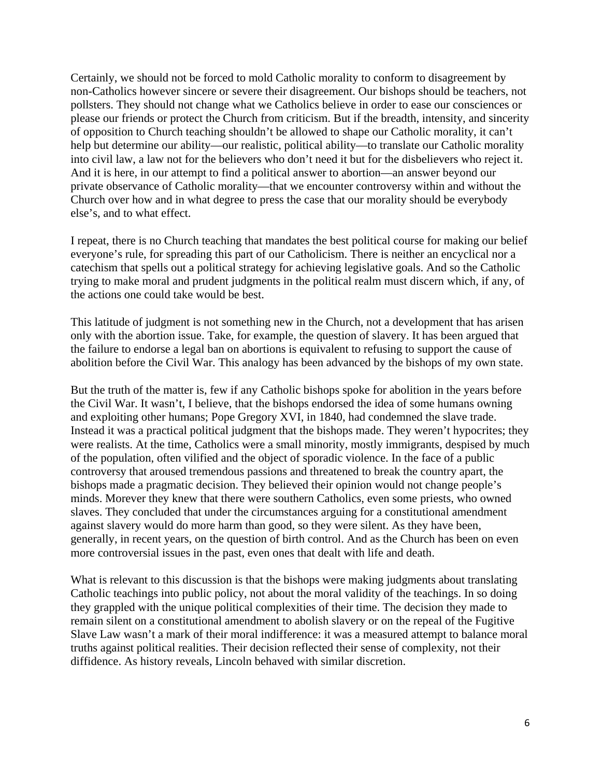Certainly, we should not be forced to mold Catholic morality to conform to disagreement by non-Catholics however sincere or severe their disagreement. Our bishops should be teachers, not pollsters. They should not change what we Catholics believe in order to ease our consciences or please our friends or protect the Church from criticism. But if the breadth, intensity, and sincerity of opposition to Church teaching shouldn't be allowed to shape our Catholic morality, it can't help but determine our ability—our realistic, political ability—to translate our Catholic morality into civil law, a law not for the believers who don't need it but for the disbelievers who reject it. And it is here, in our attempt to find a political answer to abortion—an answer beyond our private observance of Catholic morality—that we encounter controversy within and without the Church over how and in what degree to press the case that our morality should be everybody else's, and to what effect.

I repeat, there is no Church teaching that mandates the best political course for making our belief everyone's rule, for spreading this part of our Catholicism. There is neither an encyclical nor a catechism that spells out a political strategy for achieving legislative goals. And so the Catholic trying to make moral and prudent judgments in the political realm must discern which, if any, of the actions one could take would be best.

This latitude of judgment is not something new in the Church, not a development that has arisen only with the abortion issue. Take, for example, the question of slavery. It has been argued that the failure to endorse a legal ban on abortions is equivalent to refusing to support the cause of abolition before the Civil War. This analogy has been advanced by the bishops of my own state.

But the truth of the matter is, few if any Catholic bishops spoke for abolition in the years before the Civil War. It wasn't, I believe, that the bishops endorsed the idea of some humans owning and exploiting other humans; Pope Gregory XVI, in 1840, had condemned the slave trade. Instead it was a practical political judgment that the bishops made. They weren't hypocrites; they were realists. At the time, Catholics were a small minority, mostly immigrants, despised by much of the population, often vilified and the object of sporadic violence. In the face of a public controversy that aroused tremendous passions and threatened to break the country apart, the bishops made a pragmatic decision. They believed their opinion would not change people's minds. Morever they knew that there were southern Catholics, even some priests, who owned slaves. They concluded that under the circumstances arguing for a constitutional amendment against slavery would do more harm than good, so they were silent. As they have been, generally, in recent years, on the question of birth control. And as the Church has been on even more controversial issues in the past, even ones that dealt with life and death.

What is relevant to this discussion is that the bishops were making judgments about translating Catholic teachings into public policy, not about the moral validity of the teachings. In so doing they grappled with the unique political complexities of their time. The decision they made to remain silent on a constitutional amendment to abolish slavery or on the repeal of the Fugitive Slave Law wasn't a mark of their moral indifference: it was a measured attempt to balance moral truths against political realities. Their decision reflected their sense of complexity, not their diffidence. As history reveals, Lincoln behaved with similar discretion.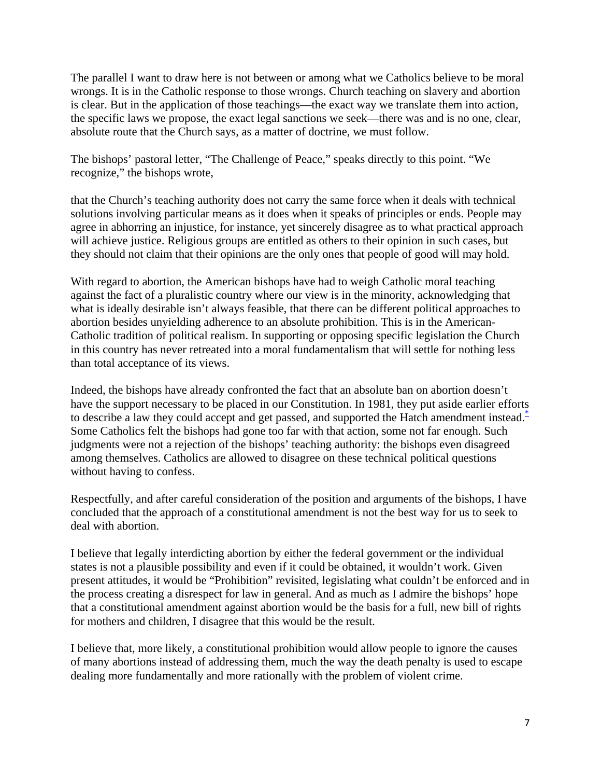The parallel I want to draw here is not between or among what we Catholics believe to be moral wrongs. It is in the Catholic response to those wrongs. Church teaching on slavery and abortion is clear. But in the application of those teachings—the exact way we translate them into action, the specific laws we propose, the exact legal sanctions we seek—there was and is no one, clear, absolute route that the Church says, as a matter of doctrine, we must follow.

The bishops' pastoral letter, "The Challenge of Peace," speaks directly to this point. "We recognize," the bishops wrote,

that the Church's teaching authority does not carry the same force when it deals with technical solutions involving particular means as it does when it speaks of principles or ends. People may agree in abhorring an injustice, for instance, yet sincerely disagree as to what practical approach will achieve justice. Religious groups are entitled as others to their opinion in such cases, but they should not claim that their opinions are the only ones that people of good will may hold.

With regard to abortion, the American bishops have had to weigh Catholic moral teaching against the fact of a pluralistic country where our view is in the minority, acknowledging that what is ideally desirable isn't always feasible, that there can be different political approaches to abortion besides unyielding adherence to an absolute prohibition. This is in the American-Catholic tradition of political realism. In supporting or opposing specific legislation the Church in this country has never retreated into a moral fundamentalism that will settle for nothing less than total acceptance of its views.

Indeed, the bishops have already confronted the fact that an absolute ban on abortion doesn't have the support necessary to be placed in our Constitution. In 1981, they put aside earlier efforts to describe a law they could accept and get passed, and supported the Hatch amendment instead.<sup>\*</sup> Some Catholics felt the bishops had gone too far with that action, some not far enough. Such judgments were not a rejection of the bishops' teaching authority: the bishops even disagreed among themselves. Catholics are allowed to disagree on these technical political questions without having to confess.

Respectfully, and after careful consideration of the position and arguments of the bishops, I have concluded that the approach of a constitutional amendment is not the best way for us to seek to deal with abortion.

I believe that legally interdicting abortion by either the federal government or the individual states is not a plausible possibility and even if it could be obtained, it wouldn't work. Given present attitudes, it would be "Prohibition" revisited, legislating what couldn't be enforced and in the process creating a disrespect for law in general. And as much as I admire the bishops' hope that a constitutional amendment against abortion would be the basis for a full, new bill of rights for mothers and children, I disagree that this would be the result.

I believe that, more likely, a constitutional prohibition would allow people to ignore the causes of many abortions instead of addressing them, much the way the death penalty is used to escape dealing more fundamentally and more rationally with the problem of violent crime.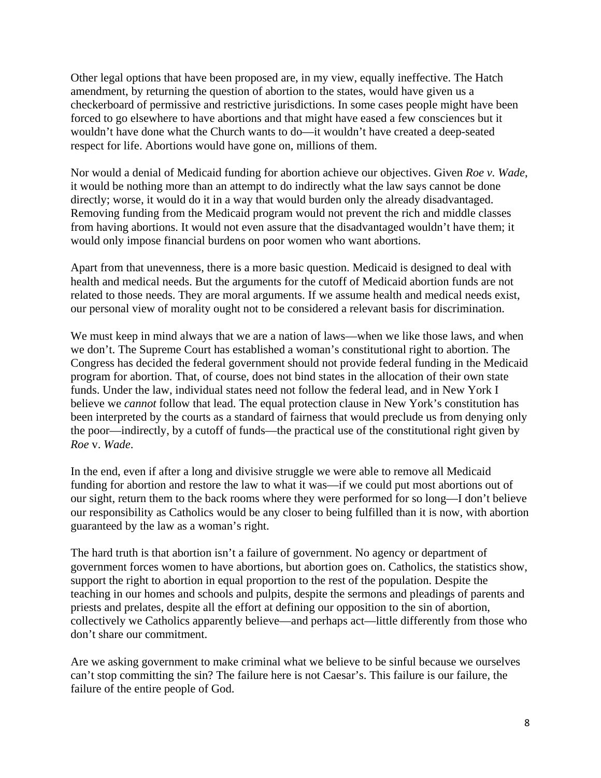Other legal options that have been proposed are, in my view, equally ineffective. The Hatch amendment, by returning the question of abortion to the states, would have given us a checkerboard of permissive and restrictive jurisdictions. In some cases people might have been forced to go elsewhere to have abortions and that might have eased a few consciences but it wouldn't have done what the Church wants to do—it wouldn't have created a deep-seated respect for life. Abortions would have gone on, millions of them.

Nor would a denial of Medicaid funding for abortion achieve our objectives. Given *Roe v. Wade*, it would be nothing more than an attempt to do indirectly what the law says cannot be done directly; worse, it would do it in a way that would burden only the already disadvantaged. Removing funding from the Medicaid program would not prevent the rich and middle classes from having abortions. It would not even assure that the disadvantaged wouldn't have them; it would only impose financial burdens on poor women who want abortions.

Apart from that unevenness, there is a more basic question. Medicaid is designed to deal with health and medical needs. But the arguments for the cutoff of Medicaid abortion funds are not related to those needs. They are moral arguments. If we assume health and medical needs exist, our personal view of morality ought not to be considered a relevant basis for discrimination.

We must keep in mind always that we are a nation of laws—when we like those laws, and when we don't. The Supreme Court has established a woman's constitutional right to abortion. The Congress has decided the federal government should not provide federal funding in the Medicaid program for abortion. That, of course, does not bind states in the allocation of their own state funds. Under the law, individual states need not follow the federal lead, and in New York I believe we *cannot* follow that lead. The equal protection clause in New York's constitution has been interpreted by the courts as a standard of fairness that would preclude us from denying only the poor—indirectly, by a cutoff of funds—the practical use of the constitutional right given by *Roe* v. *Wade*.

In the end, even if after a long and divisive struggle we were able to remove all Medicaid funding for abortion and restore the law to what it was—if we could put most abortions out of our sight, return them to the back rooms where they were performed for so long—I don't believe our responsibility as Catholics would be any closer to being fulfilled than it is now, with abortion guaranteed by the law as a woman's right.

The hard truth is that abortion isn't a failure of government. No agency or department of government forces women to have abortions, but abortion goes on. Catholics, the statistics show, support the right to abortion in equal proportion to the rest of the population. Despite the teaching in our homes and schools and pulpits, despite the sermons and pleadings of parents and priests and prelates, despite all the effort at defining our opposition to the sin of abortion, collectively we Catholics apparently believe—and perhaps act—little differently from those who don't share our commitment.

Are we asking government to make criminal what we believe to be sinful because we ourselves can't stop committing the sin? The failure here is not Caesar's. This failure is our failure, the failure of the entire people of God.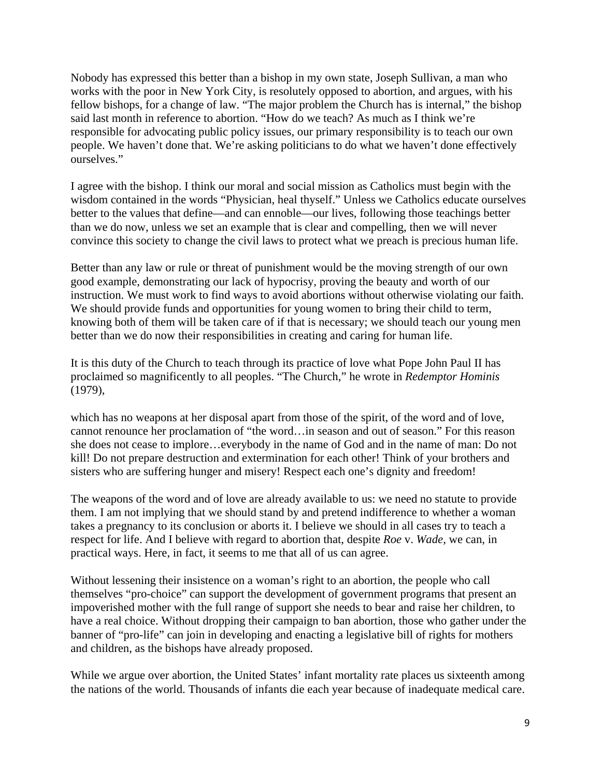Nobody has expressed this better than a bishop in my own state, Joseph Sullivan, a man who works with the poor in New York City, is resolutely opposed to abortion, and argues, with his fellow bishops, for a change of law. "The major problem the Church has is internal," the bishop said last month in reference to abortion. "How do we teach? As much as I think we're responsible for advocating public policy issues, our primary responsibility is to teach our own people. We haven't done that. We're asking politicians to do what we haven't done effectively ourselves."

I agree with the bishop. I think our moral and social mission as Catholics must begin with the wisdom contained in the words "Physician, heal thyself." Unless we Catholics educate ourselves better to the values that define—and can ennoble—our lives, following those teachings better than we do now, unless we set an example that is clear and compelling, then we will never convince this society to change the civil laws to protect what we preach is precious human life.

Better than any law or rule or threat of punishment would be the moving strength of our own good example, demonstrating our lack of hypocrisy, proving the beauty and worth of our instruction. We must work to find ways to avoid abortions without otherwise violating our faith. We should provide funds and opportunities for young women to bring their child to term, knowing both of them will be taken care of if that is necessary; we should teach our young men better than we do now their responsibilities in creating and caring for human life.

It is this duty of the Church to teach through its practice of love what Pope John Paul II has proclaimed so magnificently to all peoples. "The Church," he wrote in *Redemptor Hominis* (1979),

which has no weapons at her disposal apart from those of the spirit, of the word and of love, cannot renounce her proclamation of "the word…in season and out of season." For this reason she does not cease to implore…everybody in the name of God and in the name of man: Do not kill! Do not prepare destruction and extermination for each other! Think of your brothers and sisters who are suffering hunger and misery! Respect each one's dignity and freedom!

The weapons of the word and of love are already available to us: we need no statute to provide them. I am not implying that we should stand by and pretend indifference to whether a woman takes a pregnancy to its conclusion or aborts it. I believe we should in all cases try to teach a respect for life. And I believe with regard to abortion that, despite *Roe* v. *Wade*, we can, in practical ways. Here, in fact, it seems to me that all of us can agree.

Without lessening their insistence on a woman's right to an abortion, the people who call themselves "pro-choice" can support the development of government programs that present an impoverished mother with the full range of support she needs to bear and raise her children, to have a real choice. Without dropping their campaign to ban abortion, those who gather under the banner of "pro-life" can join in developing and enacting a legislative bill of rights for mothers and children, as the bishops have already proposed.

While we argue over abortion, the United States' infant mortality rate places us sixteenth among the nations of the world. Thousands of infants die each year because of inadequate medical care.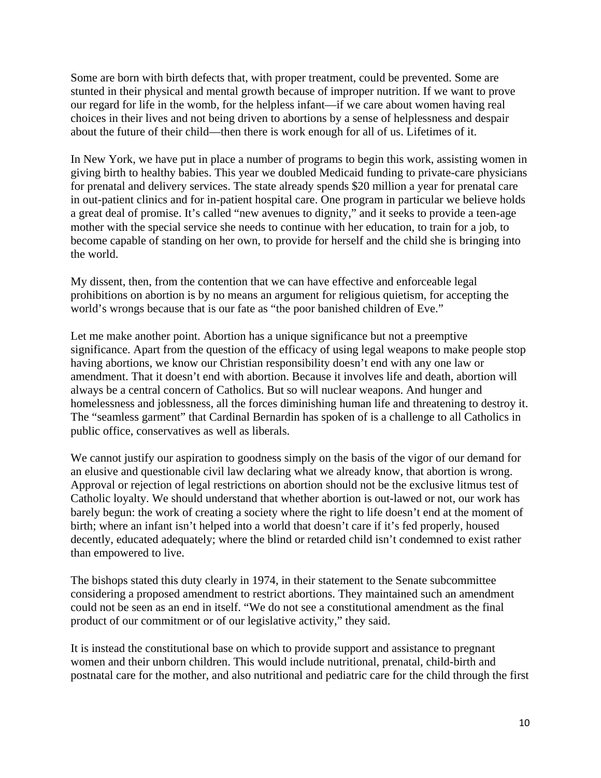Some are born with birth defects that, with proper treatment, could be prevented. Some are stunted in their physical and mental growth because of improper nutrition. If we want to prove our regard for life in the womb, for the helpless infant—if we care about women having real choices in their lives and not being driven to abortions by a sense of helplessness and despair about the future of their child—then there is work enough for all of us. Lifetimes of it.

In New York, we have put in place a number of programs to begin this work, assisting women in giving birth to healthy babies. This year we doubled Medicaid funding to private-care physicians for prenatal and delivery services. The state already spends \$20 million a year for prenatal care in out-patient clinics and for in-patient hospital care. One program in particular we believe holds a great deal of promise. It's called "new avenues to dignity," and it seeks to provide a teen-age mother with the special service she needs to continue with her education, to train for a job, to become capable of standing on her own, to provide for herself and the child she is bringing into the world.

My dissent, then, from the contention that we can have effective and enforceable legal prohibitions on abortion is by no means an argument for religious quietism, for accepting the world's wrongs because that is our fate as "the poor banished children of Eve."

Let me make another point. Abortion has a unique significance but not a preemptive significance. Apart from the question of the efficacy of using legal weapons to make people stop having abortions, we know our Christian responsibility doesn't end with any one law or amendment. That it doesn't end with abortion. Because it involves life and death, abortion will always be a central concern of Catholics. But so will nuclear weapons. And hunger and homelessness and joblessness, all the forces diminishing human life and threatening to destroy it. The "seamless garment" that Cardinal Bernardin has spoken of is a challenge to all Catholics in public office, conservatives as well as liberals.

We cannot justify our aspiration to goodness simply on the basis of the vigor of our demand for an elusive and questionable civil law declaring what we already know, that abortion is wrong. Approval or rejection of legal restrictions on abortion should not be the exclusive litmus test of Catholic loyalty. We should understand that whether abortion is out-lawed or not, our work has barely begun: the work of creating a society where the right to life doesn't end at the moment of birth; where an infant isn't helped into a world that doesn't care if it's fed properly, housed decently, educated adequately; where the blind or retarded child isn't condemned to exist rather than empowered to live.

The bishops stated this duty clearly in 1974, in their statement to the Senate subcommittee considering a proposed amendment to restrict abortions. They maintained such an amendment could not be seen as an end in itself. "We do not see a constitutional amendment as the final product of our commitment or of our legislative activity," they said.

It is instead the constitutional base on which to provide support and assistance to pregnant women and their unborn children. This would include nutritional, prenatal, child-birth and postnatal care for the mother, and also nutritional and pediatric care for the child through the first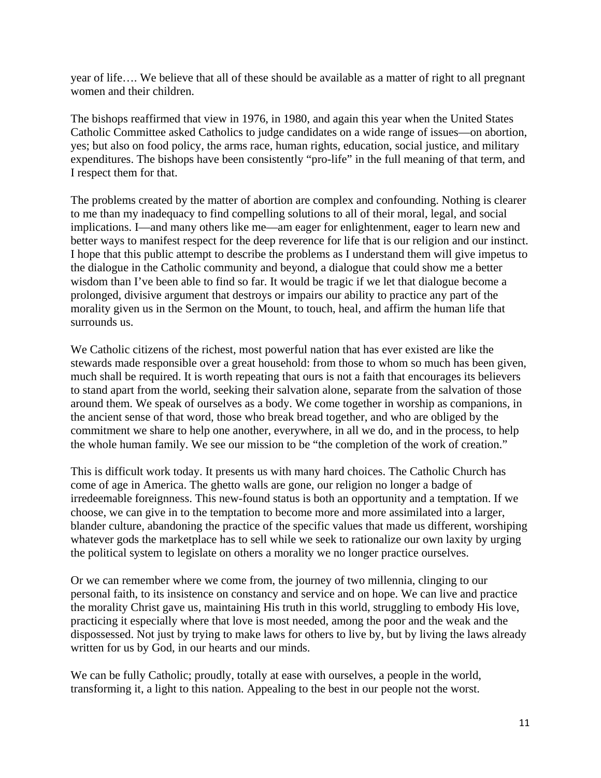year of life…. We believe that all of these should be available as a matter of right to all pregnant women and their children.

The bishops reaffirmed that view in 1976, in 1980, and again this year when the United States Catholic Committee asked Catholics to judge candidates on a wide range of issues—on abortion, yes; but also on food policy, the arms race, human rights, education, social justice, and military expenditures. The bishops have been consistently "pro-life" in the full meaning of that term, and I respect them for that.

The problems created by the matter of abortion are complex and confounding. Nothing is clearer to me than my inadequacy to find compelling solutions to all of their moral, legal, and social implications. I—and many others like me—am eager for enlightenment, eager to learn new and better ways to manifest respect for the deep reverence for life that is our religion and our instinct. I hope that this public attempt to describe the problems as I understand them will give impetus to the dialogue in the Catholic community and beyond, a dialogue that could show me a better wisdom than I've been able to find so far. It would be tragic if we let that dialogue become a prolonged, divisive argument that destroys or impairs our ability to practice any part of the morality given us in the Sermon on the Mount, to touch, heal, and affirm the human life that surrounds us.

We Catholic citizens of the richest, most powerful nation that has ever existed are like the stewards made responsible over a great household: from those to whom so much has been given, much shall be required. It is worth repeating that ours is not a faith that encourages its believers to stand apart from the world, seeking their salvation alone, separate from the salvation of those around them. We speak of ourselves as a body. We come together in worship as companions, in the ancient sense of that word, those who break bread together, and who are obliged by the commitment we share to help one another, everywhere, in all we do, and in the process, to help the whole human family. We see our mission to be "the completion of the work of creation."

This is difficult work today. It presents us with many hard choices. The Catholic Church has come of age in America. The ghetto walls are gone, our religion no longer a badge of irredeemable foreignness. This new-found status is both an opportunity and a temptation. If we choose, we can give in to the temptation to become more and more assimilated into a larger, blander culture, abandoning the practice of the specific values that made us different, worshiping whatever gods the marketplace has to sell while we seek to rationalize our own laxity by urging the political system to legislate on others a morality we no longer practice ourselves.

Or we can remember where we come from, the journey of two millennia, clinging to our personal faith, to its insistence on constancy and service and on hope. We can live and practice the morality Christ gave us, maintaining His truth in this world, struggling to embody His love, practicing it especially where that love is most needed, among the poor and the weak and the dispossessed. Not just by trying to make laws for others to live by, but by living the laws already written for us by God, in our hearts and our minds.

We can be fully Catholic; proudly, totally at ease with ourselves, a people in the world, transforming it, a light to this nation. Appealing to the best in our people not the worst.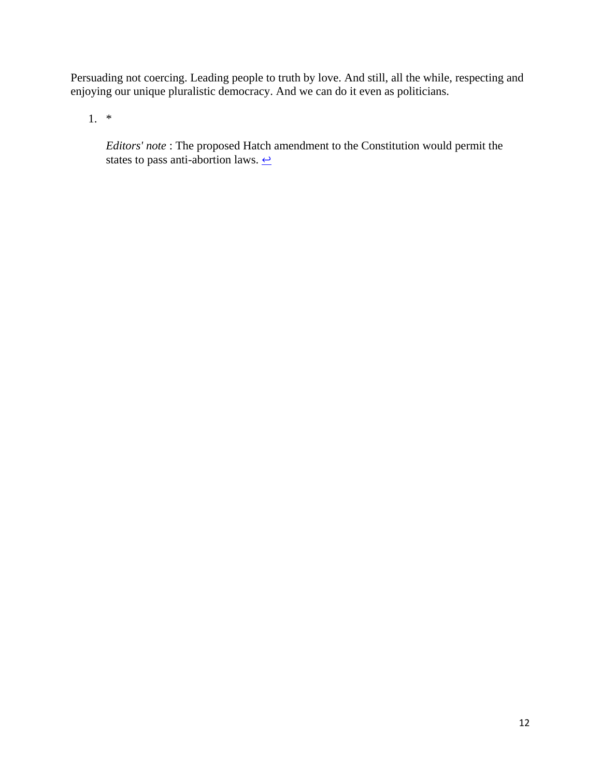Persuading not coercing. Leading people to truth by love. And still, all the while, respecting and enjoying our unique pluralistic democracy. And we can do it even as politicians.

1. \*

*Editors' note* : The proposed Hatch amendment to the Constitution would permit the states to pass anti-abortion laws.  $\triangle$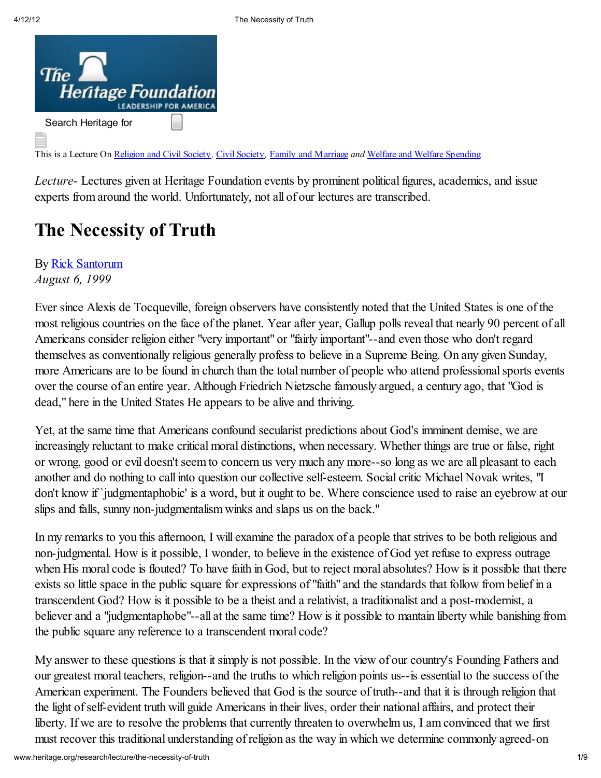

This is a Lecture On Religion and Civil Society*,* Civil Society*,* Family and Marriage *and* Welfare and Welfare Spending

*Lecture*- Lectures given at Heritage Foundation events by prominent political figures, academics, and issue experts from around the world. Unfortunately, not all of our lectures are transcribed.

## The Necessity of Truth

By Rick Santorum *August 6, 1999*

Ever since Alexis de Tocqueville, foreign observers have consistently noted that the United States is one of the most religious countries on the face of the planet. Year after year, Gallup polls reveal that nearly 90 percent of all Americans consider religion either "very important" or "fairly important"--and even those who don't regard themselves as conventionally religious generally profess to believe in a Supreme Being. On any given Sunday, more Americans are to be found in church than the total number of people who attend professional sports events over the course of an entire year. Although Friedrich Nietzsche famously argued, a century ago, that "God is dead," here in the United States He appears to be alive and thriving.

Yet, at the same time that Americans confound secularist predictions about God's imminent demise, we are increasingly reluctant to make critical moral distinctions, when necessary. Whether things are true or false, right or wrong, good or evil doesn't seem to concern us very much any more--so long as we are all pleasant to each another and do nothing to call into question our collective self-esteem. Social critic Michael Novak writes, "I don't know if `judgmentaphobic' is a word, but it ought to be. Where conscience used to raise an eyebrow at our slips and falls, sunny non-judgmentalism winks and slaps us on the back."

In my remarks to you this afternoon, I will examine the paradox of a people that strives to be both religious and non-judgmental. How is it possible, I wonder, to believe in the existence of God yet refuse to express outrage when His moral code is flouted? To have faith in God, but to reject moral absolutes? How is it possible that there exists so little space in the public square for expressions of "faith" and the standards that follow from belief in a transcendent God? How is it possible to be a theist and a relativist, a traditionalist and a post-modernist, a believer and a "judgmentaphobe"--all at the same time? How is it possible to mantain liberty while banishing from the public square any reference to a transcendent moral code?

My answer to these questions is that it simply is not possible. In the view of our country's Founding Fathers and our greatest moral teachers, religion--and the truths to which religion points us--is essential to the success of the American experiment. The Founders believed that God is the source of truth--and that it is through religion that the light of self-evident truth will guide Americans in their lives, order their national affairs, and protect their liberty. If we are to resolve the problems that currently threaten to overwhelm us, I am convinced that we first must recover this traditional understanding of religion as the way in which we determine commonly agreed-on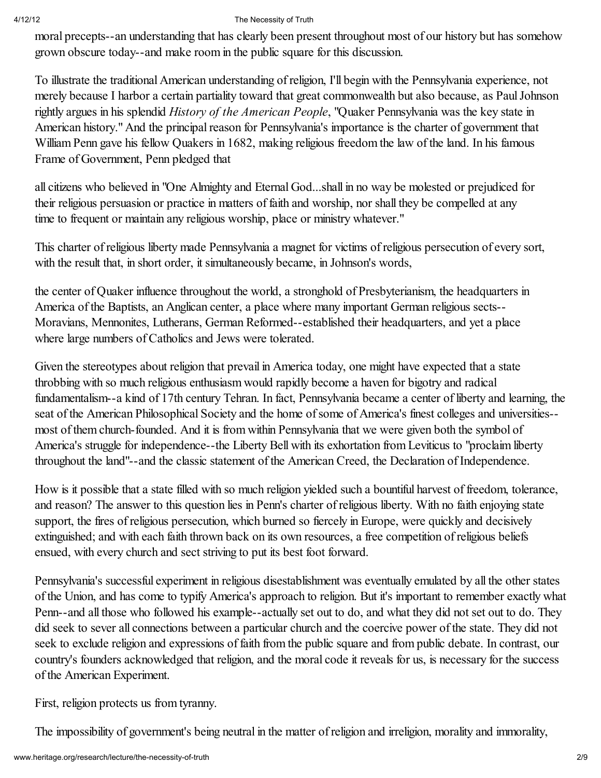moral precepts--an understanding that has clearly been present throughout most of our history but has somehow grown obscure today--and make room in the public square for this discussion.

To illustrate the traditional American understanding of religion, I'll begin with the Pennsylvania experience, not merely because I harbor a certain partiality toward that great commonwealth but also because, as PaulJohnson rightly argues in his splendid *History of the American People*, "Quaker Pennsylvania was the key state in American history." And the principal reason for Pennsylvania's importance is the charter of government that William Penn gave his fellow Quakers in 1682, making religious freedom the law of the land. In his famous Frame of Government, Penn pledged that

all citizens who believed in "One Almighty and Eternal God...shall in no way be molested or prejudiced for their religious persuasion or practice in matters of faith and worship, nor shall they be compelled at any time to frequent or maintain any religious worship, place or ministry whatever."

This charter of religious liberty made Pennsylvania a magnet for victims of religious persecution of every sort, with the result that, in short order, it simultaneously became, in Johnson's words,

the center of Quaker influence throughout the world, a stronghold of Presbyterianism, the headquarters in America of the Baptists, an Anglican center, a place where many important German religious sects-- Moravians, Mennonites, Lutherans, German Reformed--established their headquarters, and yet a place where large numbers of Catholics and Jews were tolerated.

Given the stereotypes about religion that prevail in America today, one might have expected that a state throbbing with so much religious enthusiasm would rapidly become a haven for bigotry and radical fundamentalism--a kind of 17th century Tehran. In fact, Pennsylvania became a center of liberty and learning, the seat of the American Philosophical Society and the home of some of America's finest colleges and universities-most of them church-founded. And it is from within Pennsylvania that we were given both the symbol of America's struggle for independence--the Liberty Bell with its exhortation from Leviticus to "proclaim liberty throughout the land"--and the classic statement of the American Creed, the Declaration of Independence.

How is it possible that a state filled with so much religion yielded such a bountiful harvest of freedom, tolerance, and reason? The answer to this question lies in Penn's charter of religious liberty. With no faith enjoying state support, the fires of religious persecution, which burned so fiercely in Europe, were quickly and decisively extinguished; and with each faith thrown back on its own resources, a free competition of religious beliefs ensued, with every church and sect striving to put its best foot forward.

Pennsylvania's successful experiment in religious disestablishment was eventually emulated by all the other states of the Union, and has come to typify America's approach to religion. But it's important to remember exactly what Penn--and all those who followed his example--actually set out to do, and what they did not set out to do. They did seek to sever all connections between a particular church and the coercive power of the state. They did not seek to exclude religion and expressions of faith from the public square and from public debate. In contrast, our country's founders acknowledged that religion, and the moral code it reveals for us, is necessary for the success of the American Experiment.

First, religion protects us from tyranny.

The impossibility of government's being neutral in the matter of religion and irreligion, morality and immorality,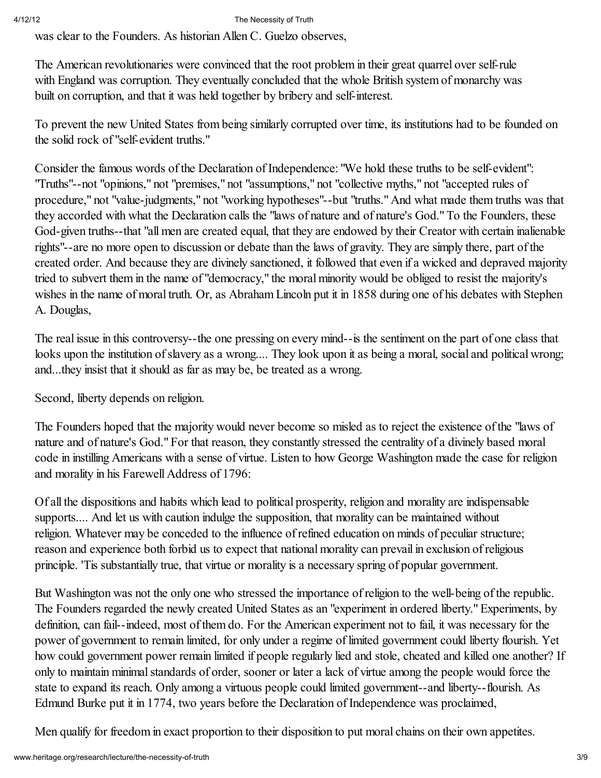was clear to the Founders. As historian Allen C. Guelzo observes,

The American revolutionaries were convinced that the root problem in their great quarrel over self-rule with England was corruption. They eventually concluded that the whole British system of monarchy was built on corruption, and that it was held together by bribery and self-interest.

To prevent the new United States from being similarly corrupted over time, its institutions had to be founded on the solid rock of "self-evident truths."

Consider the famous words of the Declaration of Independence: "We hold these truths to be self-evident": "Truths"--not "opinions," not "premises," not "assumptions," not "collective myths," not "accepted rules of procedure," not "value-judgments," not "working hypotheses"--but "truths." And what made them truths was that they accorded with what the Declaration calls the "laws of nature and of nature's God." To the Founders, these God-given truths--that "all men are created equal, that they are endowed by their Creator with certain inalienable rights"--are no more open to discussion or debate than the laws of gravity. They are simply there, part of the created order. And because they are divinely sanctioned, it followed that even if a wicked and depraved majority tried to subvert them in the name of "democracy," the moral minority would be obliged to resist the majority's wishes in the name of moral truth. Or, as Abraham Lincoln put it in 1858 during one of his debates with Stephen A. Douglas,

The real issue in this controversy--the one pressing on every mind--is the sentiment on the part of one class that looks upon the institution of slavery as a wrong.... They look upon it as being a moral, social and political wrong; and...they insist that it should as far as may be, be treated as a wrong.

Second, liberty depends on religion.

The Founders hoped that the majority would never become so misled as to reject the existence of the "laws of nature and of nature's God." For that reason, they constantly stressed the centrality of a divinely based moral code in instilling Americans with a sense of virtue. Listen to how George Washington made the case for religion and morality in his Farewell Address of 1796:

Of all the dispositions and habits which lead to political prosperity, religion and morality are indispensable supports.... And let us with caution indulge the supposition, that morality can be maintained without religion. Whatever may be conceded to the influence of refined education on minds of peculiar structure; reason and experience both forbid us to expect that national morality can prevail in exclusion of religious principle. 'Tis substantially true, that virtue or morality is a necessary spring of popular government.

But Washington was not the only one who stressed the importance of religion to the well-being of the republic. The Founders regarded the newly created United States as an "experiment in ordered liberty." Experiments, by definition, can fail--indeed, most of them do. For the American experiment not to fail, it was necessary for the power of government to remain limited, for only under a regime of limited government could liberty flourish. Yet how could government power remain limited if people regularly lied and stole, cheated and killed one another? If only to maintain minimalstandards of order, sooner or later a lack of virtue among the people would force the state to expand its reach. Only among a virtuous people could limited government--and liberty--flourish. As Edmund Burke put it in 1774, two years before the Declaration of Independence was proclaimed,

Men qualify for freedom in exact proportion to their disposition to put moral chains on their own appetites.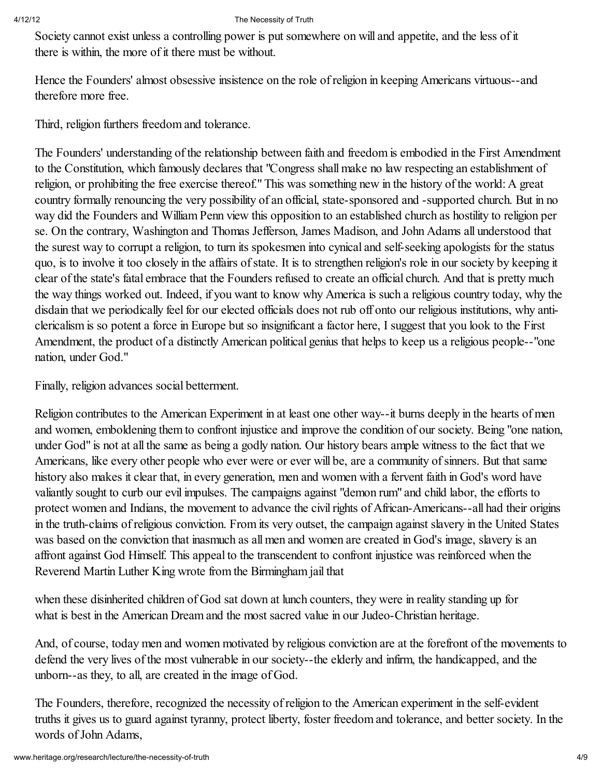Society cannot exist unless a controlling power is put somewhere on will and appetite, and the less of it there is within, the more of it there must be without.

Hence the Founders' almost obsessive insistence on the role of religion in keeping Americans virtuous--and therefore more free.

Third, religion furthers freedom and tolerance.

The Founders' understanding of the relationship between faith and freedom is embodied in the First Amendment to the Constitution, which famously declares that "Congress shall make no law respecting an establishment of religion, or prohibiting the free exercise thereof." This was something new in the history of the world: A great country formally renouncing the very possibility of an official, state-sponsored and -supported church. But in no way did the Founders and William Penn view this opposition to an established church as hostility to religion per se. On the contrary, Washington and Thomas Jefferson, James Madison, and John Adams all understood that the surest way to corrupt a religion, to turn its spokesmen into cynical and self-seeking apologists for the status quo, is to involve it too closely in the affairs ofstate. It is to strengthen religion's role in our society by keeping it clear of the state's fatal embrace that the Founders refused to create an official church. And that is pretty much the way things worked out. Indeed, if you want to know why America is such a religious country today, why the disdain that we periodically feel for our elected officials does not rub off onto our religious institutions, why anticlericalism is so potent a force in Europe but so insignificant a factor here, I suggest that you look to the First Amendment, the product of a distinctly American political genius that helps to keep us a religious people--"one nation, under God."

Finally, religion advances social betterment.

Religion contributes to the American Experiment in at least one other way--it burns deeply in the hearts of men and women, emboldening them to confront injustice and improve the condition of our society. Being "one nation, under God" is not at all the same as being a godly nation. Our history bears ample witness to the fact that we Americans, like every other people who ever were or ever will be, are a community of sinners. But that same history also makes it clear that, in every generation, men and women with a fervent faith in God's word have valiantly sought to curb our evil impulses. The campaigns against "demon rum" and child labor, the efforts to protect women and Indians, the movement to advance the civil rights of African-Americans--all had their origins in the truth-claims of religious conviction. From its very outset, the campaign against slavery in the United States was based on the conviction that inasmuch as all men and women are created in God's image, slavery is an affront against God Himself. This appeal to the transcendent to confront injustice was reinforced when the Reverend Martin Luther King wrote from the Birmingham jail that

when these disinherited children of God sat down at lunch counters, they were in reality standing up for what is best in the American Dream and the most sacred value in our Judeo-Christian heritage.

And, of course, today men and women motivated by religious conviction are at the forefront of the movements to defend the very lives of the most vulnerable in our society--the elderly and infirm, the handicapped, and the unborn--as they, to all, are created in the image of God.

The Founders, therefore, recognized the necessity of religion to the American experiment in the self-evident truths it gives us to guard against tyranny, protect liberty, foster freedom and tolerance, and better society. In the words of John Adams,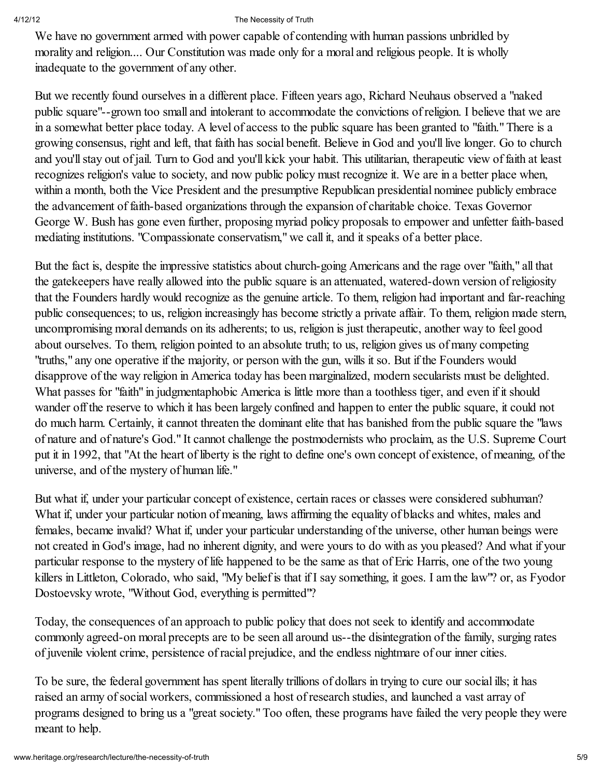We have no government armed with power capable of contending with human passions unbridled by morality and religion.... Our Constitution was made only for a moral and religious people. It is wholly inadequate to the government of any other.

But we recently found ourselves in a different place. Fifteen years ago, Richard Neuhaus observed a "naked public square"--grown too small and intolerant to accommodate the convictions of religion. I believe that we are in a somewhat better place today. A level of access to the public square has been granted to "faith." There is a growing consensus, right and left, that faith has social benefit. Believe in God and you'll live longer. Go to church and you'llstay out of jail. Turn to God and you'll kick your habit. This utilitarian, therapeutic view of faith at least recognizes religion's value to society, and now public policy must recognize it. We are in a better place when, within a month, both the Vice President and the presumptive Republican presidential nominee publicly embrace the advancement of faith-based organizations through the expansion of charitable choice. Texas Governor George W. Bush has gone even further, proposing myriad policy proposals to empower and unfetter faith-based mediating institutions. "Compassionate conservatism," we call it, and it speaks of a better place.

But the fact is, despite the impressive statistics about church-going Americans and the rage over "faith," all that the gatekeepers have really allowed into the public square is an attenuated, watered-down version of religiosity that the Founders hardly would recognize as the genuine article. To them, religion had important and far-reaching public consequences; to us, religion increasingly has become strictly a private affair. To them, religion made stern, uncompromising moral demands on its adherents; to us, religion is just therapeutic, another way to feel good about ourselves. To them, religion pointed to an absolute truth; to us, religion gives us of many competing "truths," any one operative if the majority, or person with the gun, wills it so. But if the Founders would disapprove of the way religion in America today has been marginalized, modern secularists must be delighted. What passes for "faith" in judgmentaphobic America is little more than a toothless tiger, and even if it should wander off the reserve to which it has been largely confined and happen to enter the public square, it could not do much harm. Certainly, it cannot threaten the dominant elite that has banished from the public square the "laws of nature and of nature's God." It cannot challenge the postmodernists who proclaim, as the U.S. Supreme Court put it in 1992, that "At the heart of liberty is the right to define one's own concept of existence, of meaning, of the universe, and of the mystery of human life."

But what if, under your particular concept of existence, certain races or classes were considered subhuman? What if, under your particular notion of meaning, laws affirming the equality of blacks and whites, males and females, became invalid? What if, under your particular understanding of the universe, other human beings were not created in God's image, had no inherent dignity, and were yours to do with as you pleased? And what if your particular response to the mystery of life happened to be the same as that of Eric Harris, one of the two young killers in Littleton, Colorado, who said, "My belief is that if I say something, it goes. I am the law"? or, as Fyodor Dostoevsky wrote, "Without God, everything is permitted"?

Today, the consequences of an approach to public policy that does not seek to identify and accommodate commonly agreed-on moral precepts are to be seen all around us--the disintegration of the family, surging rates of juvenile violent crime, persistence of racial prejudice, and the endless nightmare of our inner cities.

To be sure, the federal government has spent literally trillions of dollars in trying to cure our social ills; it has raised an army of social workers, commissioned a host of research studies, and launched a vast array of programs designed to bring us a "great society." Too often, these programs have failed the very people they were meant to help.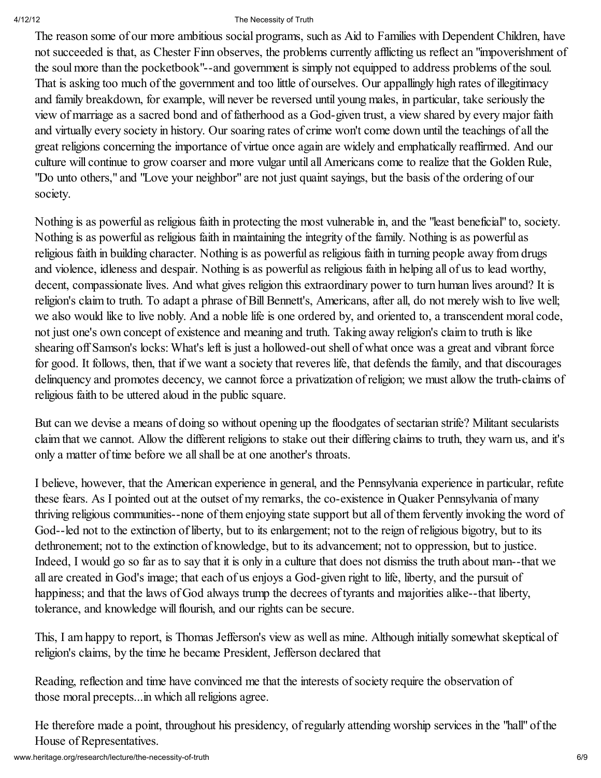The reason some of our more ambitious social programs, such as Aid to Families with Dependent Children, have not succeeded is that, as Chester Finn observes, the problems currently afflicting us reflect an "impoverishment of the soul more than the pocketbook"--and government is simply not equipped to address problems of the soul. That is asking too much of the government and too little of ourselves. Our appallingly high rates of illegitimacy and family breakdown, for example, will never be reversed until young males, in particular, take seriously the view of marriage as a sacred bond and of fatherhood as a God-given trust, a view shared by every major faith and virtually every society in history. Our soaring rates of crime won't come down until the teachings of all the great religions concerning the importance of virtue once again are widely and emphatically reaffirmed. And our culture will continue to grow coarser and more vulgar until all Americans come to realize that the Golden Rule, "Do unto others," and "Love your neighbor" are not just quaint sayings, but the basis of the ordering of our society.

Nothing is as powerful as religious faith in protecting the most vulnerable in, and the "least beneficial" to, society. Nothing is as powerful as religious faith in maintaining the integrity of the family. Nothing is as powerful as religious faith in building character. Nothing is as powerful as religious faith in turning people away from drugs and violence, idleness and despair. Nothing is as powerful as religious faith in helping all of us to lead worthy, decent, compassionate lives. And what gives religion this extraordinary power to turn human lives around? It is religion's claim to truth. To adapt a phrase of Bill Bennett's, Americans, after all, do not merely wish to live well; we also would like to live nobly. And a noble life is one ordered by, and oriented to, a transcendent moral code, not just one's own concept of existence and meaning and truth. Taking away religion's claim to truth is like shearing off Samson's locks: What's left is just a hollowed-out shell of what once was a great and vibrant force for good. It follows, then, that if we want a society that reveres life, that defends the family, and that discourages delinquency and promotes decency, we cannot force a privatization of religion; we must allow the truth-claims of religious faith to be uttered aloud in the public square.

But can we devise a means of doing so without opening up the floodgates of sectarian strife? Militant secularists claim that we cannot. Allow the different religions to stake out their differing claims to truth, they warn us, and it's only a matter of time before we allshall be at one another's throats.

I believe, however, that the American experience in general, and the Pennsylvania experience in particular, refute these fears. As I pointed out at the outset of my remarks, the co-existence in Quaker Pennsylvania of many thriving religious communities--none of them enjoying state support but all of them fervently invoking the word of God--led not to the extinction of liberty, but to its enlargement; not to the reign of religious bigotry, but to its dethronement; not to the extinction of knowledge, but to its advancement; not to oppression, but to justice. Indeed, I would go so far as to say that it is only in a culture that does not dismiss the truth about man--that we all are created in God's image; that each of us enjoys a God-given right to life, liberty, and the pursuit of happiness; and that the laws of God always trump the decrees of tyrants and majorities alike--that liberty, tolerance, and knowledge will flourish, and our rights can be secure.

This, I am happy to report, is Thomas Jefferson's view as well as mine. Although initially somewhat skeptical of religion's claims, by the time he became President, Jefferson declared that

Reading, reflection and time have convinced me that the interests of society require the observation of those moral precepts...in which allreligions agree.

He therefore made a point, throughout his presidency, of regularly attending worship services in the "hall" of the House of Representatives.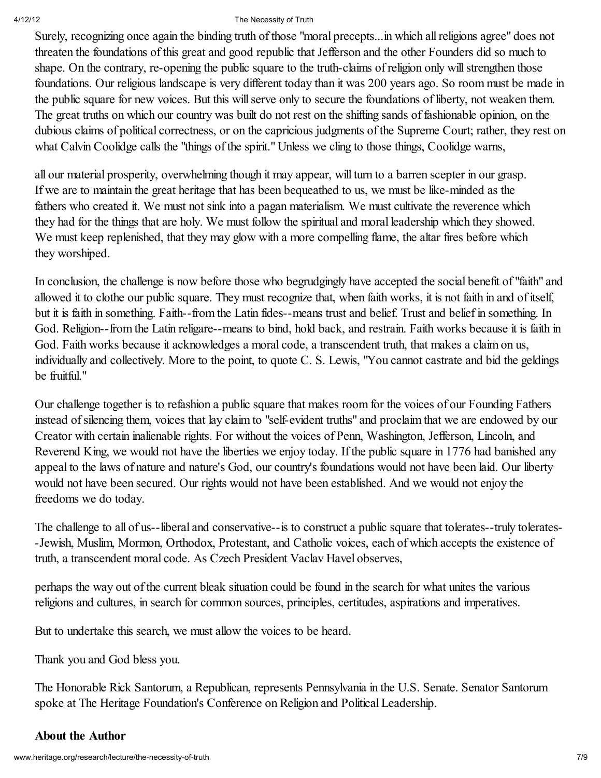Surely, recognizing once again the binding truth of those "moral precepts...in which allreligions agree" does not threaten the foundations of this great and good republic that Jefferson and the other Founders did so much to shape. On the contrary, re-opening the public square to the truth-claims of religion only will strengthen those foundations. Our religious landscape is very different today than it was 200 years ago. So room must be made in the public square for new voices. But this will serve only to secure the foundations of liberty, not weaken them. The great truths on which our country was built do not rest on the shifting sands of fashionable opinion, on the dubious claims of political correctness, or on the capricious judgments of the Supreme Court; rather, they rest on what Calvin Coolidge calls the "things of the spirit." Unless we cling to those things, Coolidge warns,

all our material prosperity, overwhelming though it may appear, will turn to a barren scepter in our grasp. If we are to maintain the great heritage that has been bequeathed to us, we must be like-minded as the fathers who created it. We must not sink into a pagan materialism. We must cultivate the reverence which they had for the things that are holy. We must follow the spiritual and moral leadership which they showed. We must keep replenished, that they may glow with a more compelling flame, the altar fires before which they worshiped.

In conclusion, the challenge is now before those who begrudgingly have accepted the social benefit of "faith" and allowed it to clothe our public square. They must recognize that, when faith works, it is not faith in and of itself, but it is faith in something. Faith--from the Latin fides--means trust and belief. Trust and belief in something. In God. Religion--from the Latin religare--means to bind, hold back, and restrain. Faith works because it is faith in God. Faith works because it acknowledges a moral code, a transcendent truth, that makes a claim on us, individually and collectively. More to the point, to quote C. S. Lewis, "You cannot castrate and bid the geldings be fruitful."

Our challenge together is to refashion a public square that makes room for the voices of our Founding Fathers instead ofsilencing them, voices that lay claim to "self-evident truths" and proclaim that we are endowed by our Creator with certain inalienable rights. For without the voices of Penn, Washington, Jefferson, Lincoln, and Reverend King, we would not have the liberties we enjoy today. If the public square in 1776 had banished any appeal to the laws of nature and nature's God, our country's foundations would not have been laid. Our liberty would not have been secured. Our rights would not have been established. And we would not enjoy the freedoms we do today.

The challenge to all of us--liberal and conservative--is to construct a public square that tolerates--truly tolerates- -Jewish, Muslim, Mormon, Orthodox, Protestant, and Catholic voices, each of which accepts the existence of truth, a transcendent moral code. As Czech President Vaclav Havel observes,

perhaps the way out of the current bleak situation could be found in the search for what unites the various religions and cultures, in search for common sources, principles, certitudes, aspirations and imperatives.

But to undertake this search, we must allow the voices to be heard.

Thank you and God bless you.

The Honorable Rick Santorum, a Republican, represents Pennsylvania in the U.S. Senate. Senator Santorum spoke at The Heritage Foundation's Conference on Religion and Political Leadership.

#### About the Author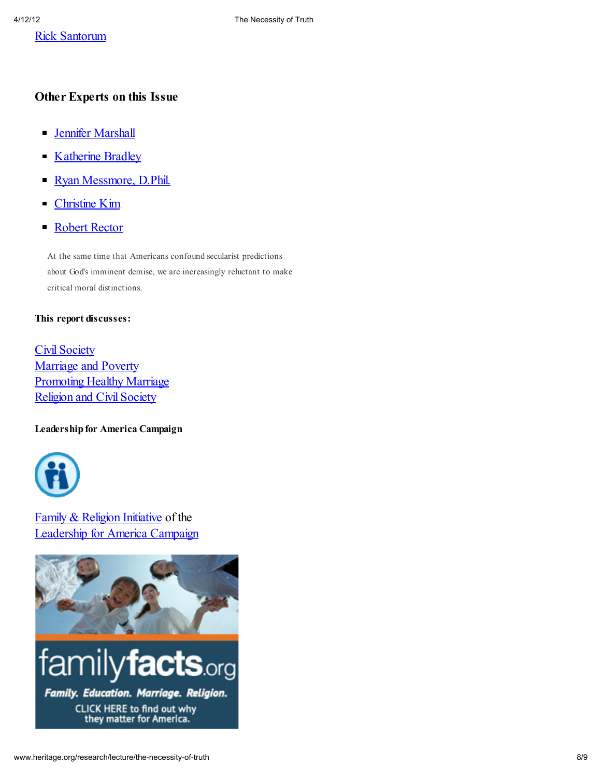Rick Santorum

#### Other Experts on this Issue

- **Jennifer Marshall**
- Katherine Bradley  $\blacksquare$
- Ryan Messmore, D.Phil.  $\blacksquare$
- Christine Kim  $\blacksquare$
- Robert Rector  $\blacksquare$

At the same time that Americans confound secularist predictions about God's imminent demise, we are increasingly reluctant to make critical moral distinctions.

#### This report discusses:

Civil Society Marriage and Poverty Promoting Healthy Marriage Religion and Civil Society

#### Leadership for America Campaign



Family & Religion Initiative of the Leadership for America Campaign

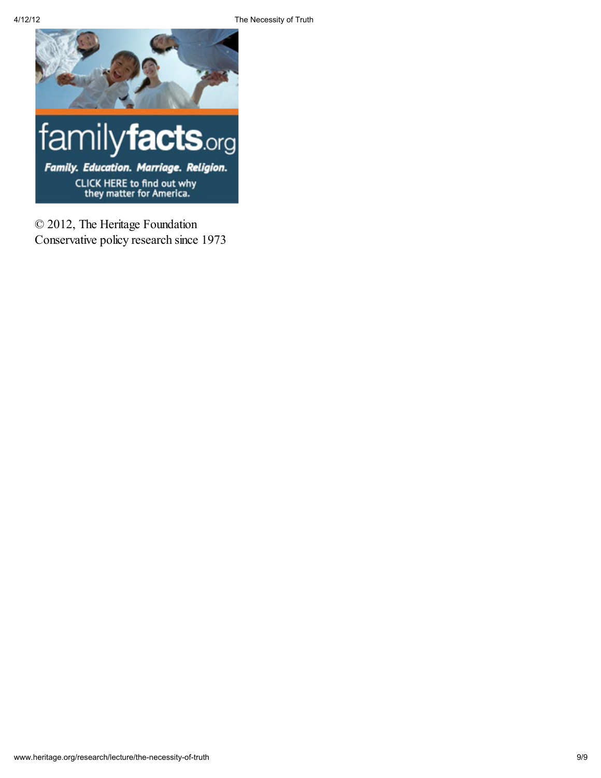

© 2012, The Heritage Foundation Conservative policy research since 1973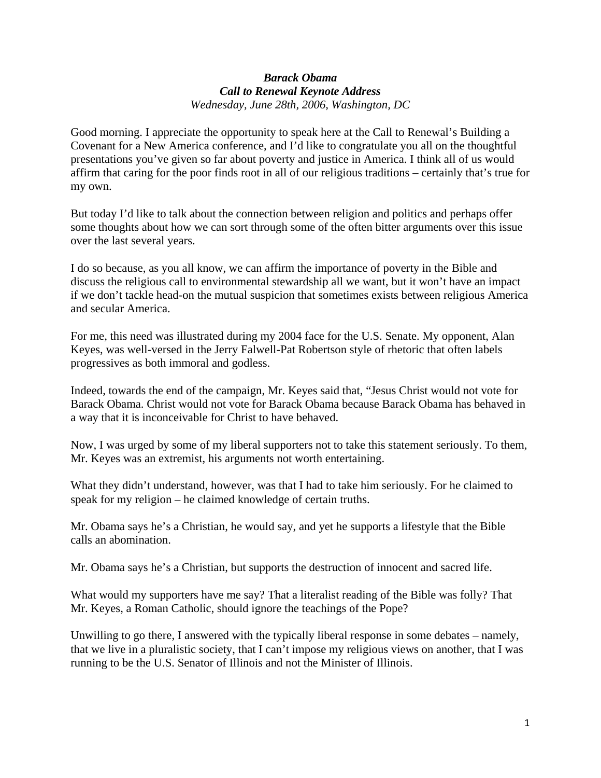#### *Barack Obama Call to Renewal Keynote Address Wednesday, June 28th, 2006, Washington, DC*

Good morning. I appreciate the opportunity to speak here at the Call to Renewal's Building a Covenant for a New America conference, and I'd like to congratulate you all on the thoughtful presentations you've given so far about poverty and justice in America. I think all of us would affirm that caring for the poor finds root in all of our religious traditions – certainly that's true for my own.

But today I'd like to talk about the connection between religion and politics and perhaps offer some thoughts about how we can sort through some of the often bitter arguments over this issue over the last several years.

I do so because, as you all know, we can affirm the importance of poverty in the Bible and discuss the religious call to environmental stewardship all we want, but it won't have an impact if we don't tackle head-on the mutual suspicion that sometimes exists between religious America and secular America.

For me, this need was illustrated during my 2004 face for the U.S. Senate. My opponent, Alan Keyes, was well-versed in the Jerry Falwell-Pat Robertson style of rhetoric that often labels progressives as both immoral and godless.

Indeed, towards the end of the campaign, Mr. Keyes said that, "Jesus Christ would not vote for Barack Obama. Christ would not vote for Barack Obama because Barack Obama has behaved in a way that it is inconceivable for Christ to have behaved.

Now, I was urged by some of my liberal supporters not to take this statement seriously. To them, Mr. Keyes was an extremist, his arguments not worth entertaining.

What they didn't understand, however, was that I had to take him seriously. For he claimed to speak for my religion – he claimed knowledge of certain truths.

Mr. Obama says he's a Christian, he would say, and yet he supports a lifestyle that the Bible calls an abomination.

Mr. Obama says he's a Christian, but supports the destruction of innocent and sacred life.

What would my supporters have me say? That a literalist reading of the Bible was folly? That Mr. Keyes, a Roman Catholic, should ignore the teachings of the Pope?

Unwilling to go there, I answered with the typically liberal response in some debates – namely, that we live in a pluralistic society, that I can't impose my religious views on another, that I was running to be the U.S. Senator of Illinois and not the Minister of Illinois.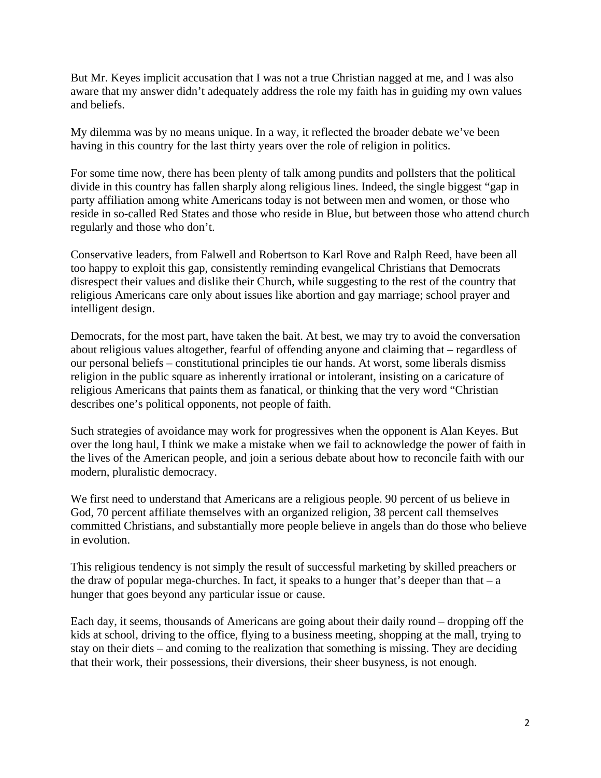But Mr. Keyes implicit accusation that I was not a true Christian nagged at me, and I was also aware that my answer didn't adequately address the role my faith has in guiding my own values and beliefs.

My dilemma was by no means unique. In a way, it reflected the broader debate we've been having in this country for the last thirty years over the role of religion in politics.

For some time now, there has been plenty of talk among pundits and pollsters that the political divide in this country has fallen sharply along religious lines. Indeed, the single biggest "gap in party affiliation among white Americans today is not between men and women, or those who reside in so-called Red States and those who reside in Blue, but between those who attend church regularly and those who don't.

Conservative leaders, from Falwell and Robertson to Karl Rove and Ralph Reed, have been all too happy to exploit this gap, consistently reminding evangelical Christians that Democrats disrespect their values and dislike their Church, while suggesting to the rest of the country that religious Americans care only about issues like abortion and gay marriage; school prayer and intelligent design.

Democrats, for the most part, have taken the bait. At best, we may try to avoid the conversation about religious values altogether, fearful of offending anyone and claiming that – regardless of our personal beliefs – constitutional principles tie our hands. At worst, some liberals dismiss religion in the public square as inherently irrational or intolerant, insisting on a caricature of religious Americans that paints them as fanatical, or thinking that the very word "Christian describes one's political opponents, not people of faith.

Such strategies of avoidance may work for progressives when the opponent is Alan Keyes. But over the long haul, I think we make a mistake when we fail to acknowledge the power of faith in the lives of the American people, and join a serious debate about how to reconcile faith with our modern, pluralistic democracy.

We first need to understand that Americans are a religious people. 90 percent of us believe in God, 70 percent affiliate themselves with an organized religion, 38 percent call themselves committed Christians, and substantially more people believe in angels than do those who believe in evolution.

This religious tendency is not simply the result of successful marketing by skilled preachers or the draw of popular mega-churches. In fact, it speaks to a hunger that's deeper than that  $-$  a hunger that goes beyond any particular issue or cause.

Each day, it seems, thousands of Americans are going about their daily round – dropping off the kids at school, driving to the office, flying to a business meeting, shopping at the mall, trying to stay on their diets – and coming to the realization that something is missing. They are deciding that their work, their possessions, their diversions, their sheer busyness, is not enough.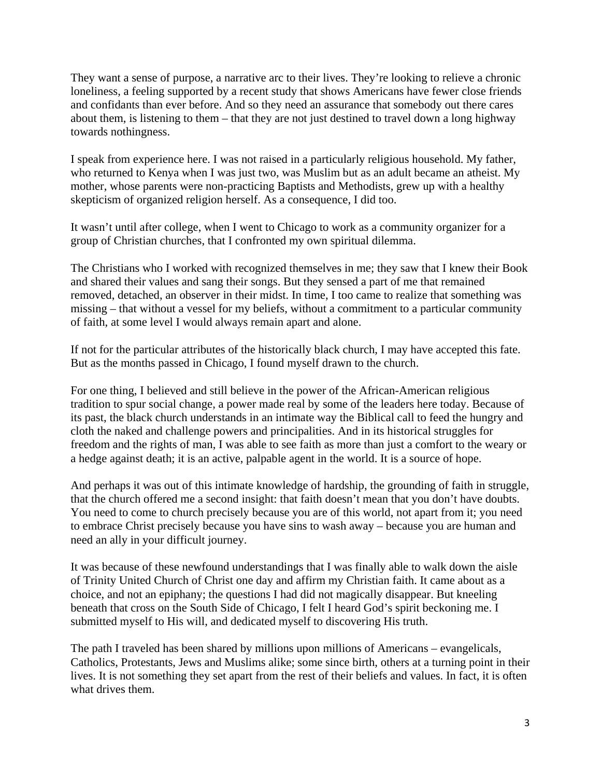They want a sense of purpose, a narrative arc to their lives. They're looking to relieve a chronic loneliness, a feeling supported by a recent study that shows Americans have fewer close friends and confidants than ever before. And so they need an assurance that somebody out there cares about them, is listening to them – that they are not just destined to travel down a long highway towards nothingness.

I speak from experience here. I was not raised in a particularly religious household. My father, who returned to Kenya when I was just two, was Muslim but as an adult became an atheist. My mother, whose parents were non-practicing Baptists and Methodists, grew up with a healthy skepticism of organized religion herself. As a consequence, I did too.

It wasn't until after college, when I went to Chicago to work as a community organizer for a group of Christian churches, that I confronted my own spiritual dilemma.

The Christians who I worked with recognized themselves in me; they saw that I knew their Book and shared their values and sang their songs. But they sensed a part of me that remained removed, detached, an observer in their midst. In time, I too came to realize that something was missing – that without a vessel for my beliefs, without a commitment to a particular community of faith, at some level I would always remain apart and alone.

If not for the particular attributes of the historically black church, I may have accepted this fate. But as the months passed in Chicago, I found myself drawn to the church.

For one thing, I believed and still believe in the power of the African-American religious tradition to spur social change, a power made real by some of the leaders here today. Because of its past, the black church understands in an intimate way the Biblical call to feed the hungry and cloth the naked and challenge powers and principalities. And in its historical struggles for freedom and the rights of man, I was able to see faith as more than just a comfort to the weary or a hedge against death; it is an active, palpable agent in the world. It is a source of hope.

And perhaps it was out of this intimate knowledge of hardship, the grounding of faith in struggle, that the church offered me a second insight: that faith doesn't mean that you don't have doubts. You need to come to church precisely because you are of this world, not apart from it; you need to embrace Christ precisely because you have sins to wash away – because you are human and need an ally in your difficult journey.

It was because of these newfound understandings that I was finally able to walk down the aisle of Trinity United Church of Christ one day and affirm my Christian faith. It came about as a choice, and not an epiphany; the questions I had did not magically disappear. But kneeling beneath that cross on the South Side of Chicago, I felt I heard God's spirit beckoning me. I submitted myself to His will, and dedicated myself to discovering His truth.

The path I traveled has been shared by millions upon millions of Americans – evangelicals, Catholics, Protestants, Jews and Muslims alike; some since birth, others at a turning point in their lives. It is not something they set apart from the rest of their beliefs and values. In fact, it is often what drives them.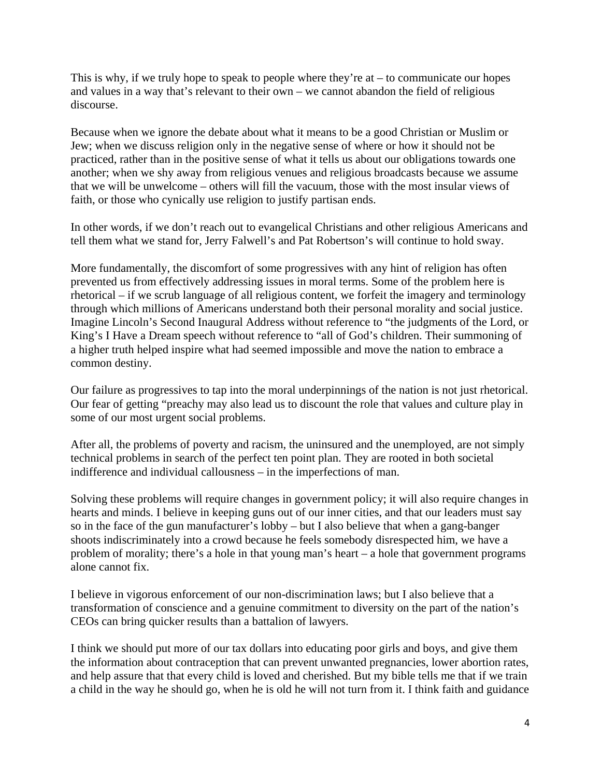This is why, if we truly hope to speak to people where they're at – to communicate our hopes and values in a way that's relevant to their own – we cannot abandon the field of religious discourse.

Because when we ignore the debate about what it means to be a good Christian or Muslim or Jew; when we discuss religion only in the negative sense of where or how it should not be practiced, rather than in the positive sense of what it tells us about our obligations towards one another; when we shy away from religious venues and religious broadcasts because we assume that we will be unwelcome – others will fill the vacuum, those with the most insular views of faith, or those who cynically use religion to justify partisan ends.

In other words, if we don't reach out to evangelical Christians and other religious Americans and tell them what we stand for, Jerry Falwell's and Pat Robertson's will continue to hold sway.

More fundamentally, the discomfort of some progressives with any hint of religion has often prevented us from effectively addressing issues in moral terms. Some of the problem here is rhetorical – if we scrub language of all religious content, we forfeit the imagery and terminology through which millions of Americans understand both their personal morality and social justice. Imagine Lincoln's Second Inaugural Address without reference to "the judgments of the Lord, or King's I Have a Dream speech without reference to "all of God's children. Their summoning of a higher truth helped inspire what had seemed impossible and move the nation to embrace a common destiny.

Our failure as progressives to tap into the moral underpinnings of the nation is not just rhetorical. Our fear of getting "preachy may also lead us to discount the role that values and culture play in some of our most urgent social problems.

After all, the problems of poverty and racism, the uninsured and the unemployed, are not simply technical problems in search of the perfect ten point plan. They are rooted in both societal indifference and individual callousness – in the imperfections of man.

Solving these problems will require changes in government policy; it will also require changes in hearts and minds. I believe in keeping guns out of our inner cities, and that our leaders must say so in the face of the gun manufacturer's lobby – but I also believe that when a gang-banger shoots indiscriminately into a crowd because he feels somebody disrespected him, we have a problem of morality; there's a hole in that young man's heart – a hole that government programs alone cannot fix.

I believe in vigorous enforcement of our non-discrimination laws; but I also believe that a transformation of conscience and a genuine commitment to diversity on the part of the nation's CEOs can bring quicker results than a battalion of lawyers.

I think we should put more of our tax dollars into educating poor girls and boys, and give them the information about contraception that can prevent unwanted pregnancies, lower abortion rates, and help assure that that every child is loved and cherished. But my bible tells me that if we train a child in the way he should go, when he is old he will not turn from it. I think faith and guidance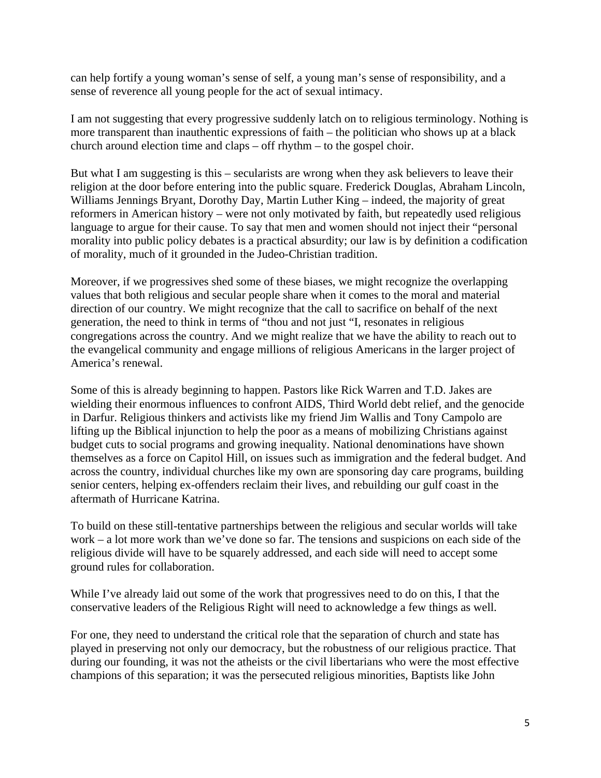can help fortify a young woman's sense of self, a young man's sense of responsibility, and a sense of reverence all young people for the act of sexual intimacy.

I am not suggesting that every progressive suddenly latch on to religious terminology. Nothing is more transparent than inauthentic expressions of faith – the politician who shows up at a black church around election time and claps – off rhythm – to the gospel choir.

But what I am suggesting is this – secularists are wrong when they ask believers to leave their religion at the door before entering into the public square. Frederick Douglas, Abraham Lincoln, Williams Jennings Bryant, Dorothy Day, Martin Luther King – indeed, the majority of great reformers in American history – were not only motivated by faith, but repeatedly used religious language to argue for their cause. To say that men and women should not inject their "personal morality into public policy debates is a practical absurdity; our law is by definition a codification of morality, much of it grounded in the Judeo-Christian tradition.

Moreover, if we progressives shed some of these biases, we might recognize the overlapping values that both religious and secular people share when it comes to the moral and material direction of our country. We might recognize that the call to sacrifice on behalf of the next generation, the need to think in terms of "thou and not just "I, resonates in religious congregations across the country. And we might realize that we have the ability to reach out to the evangelical community and engage millions of religious Americans in the larger project of America's renewal.

Some of this is already beginning to happen. Pastors like Rick Warren and T.D. Jakes are wielding their enormous influences to confront AIDS, Third World debt relief, and the genocide in Darfur. Religious thinkers and activists like my friend Jim Wallis and Tony Campolo are lifting up the Biblical injunction to help the poor as a means of mobilizing Christians against budget cuts to social programs and growing inequality. National denominations have shown themselves as a force on Capitol Hill, on issues such as immigration and the federal budget. And across the country, individual churches like my own are sponsoring day care programs, building senior centers, helping ex-offenders reclaim their lives, and rebuilding our gulf coast in the aftermath of Hurricane Katrina.

To build on these still-tentative partnerships between the religious and secular worlds will take work – a lot more work than we've done so far. The tensions and suspicions on each side of the religious divide will have to be squarely addressed, and each side will need to accept some ground rules for collaboration.

While I've already laid out some of the work that progressives need to do on this, I that the conservative leaders of the Religious Right will need to acknowledge a few things as well.

For one, they need to understand the critical role that the separation of church and state has played in preserving not only our democracy, but the robustness of our religious practice. That during our founding, it was not the atheists or the civil libertarians who were the most effective champions of this separation; it was the persecuted religious minorities, Baptists like John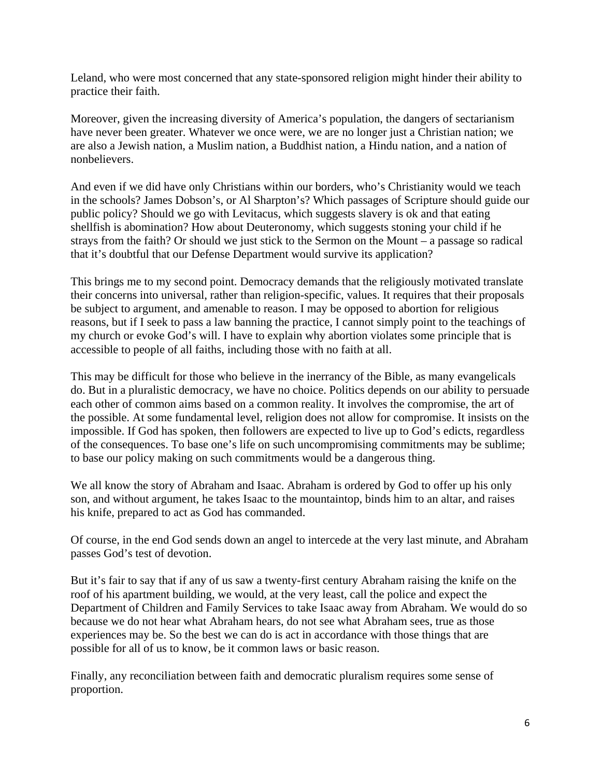Leland, who were most concerned that any state-sponsored religion might hinder their ability to practice their faith.

Moreover, given the increasing diversity of America's population, the dangers of sectarianism have never been greater. Whatever we once were, we are no longer just a Christian nation; we are also a Jewish nation, a Muslim nation, a Buddhist nation, a Hindu nation, and a nation of nonbelievers.

And even if we did have only Christians within our borders, who's Christianity would we teach in the schools? James Dobson's, or Al Sharpton's? Which passages of Scripture should guide our public policy? Should we go with Levitacus, which suggests slavery is ok and that eating shellfish is abomination? How about Deuteronomy, which suggests stoning your child if he strays from the faith? Or should we just stick to the Sermon on the Mount – a passage so radical that it's doubtful that our Defense Department would survive its application?

This brings me to my second point. Democracy demands that the religiously motivated translate their concerns into universal, rather than religion-specific, values. It requires that their proposals be subject to argument, and amenable to reason. I may be opposed to abortion for religious reasons, but if I seek to pass a law banning the practice, I cannot simply point to the teachings of my church or evoke God's will. I have to explain why abortion violates some principle that is accessible to people of all faiths, including those with no faith at all.

This may be difficult for those who believe in the inerrancy of the Bible, as many evangelicals do. But in a pluralistic democracy, we have no choice. Politics depends on our ability to persuade each other of common aims based on a common reality. It involves the compromise, the art of the possible. At some fundamental level, religion does not allow for compromise. It insists on the impossible. If God has spoken, then followers are expected to live up to God's edicts, regardless of the consequences. To base one's life on such uncompromising commitments may be sublime; to base our policy making on such commitments would be a dangerous thing.

We all know the story of Abraham and Isaac. Abraham is ordered by God to offer up his only son, and without argument, he takes Isaac to the mountaintop, binds him to an altar, and raises his knife, prepared to act as God has commanded.

Of course, in the end God sends down an angel to intercede at the very last minute, and Abraham passes God's test of devotion.

But it's fair to say that if any of us saw a twenty-first century Abraham raising the knife on the roof of his apartment building, we would, at the very least, call the police and expect the Department of Children and Family Services to take Isaac away from Abraham. We would do so because we do not hear what Abraham hears, do not see what Abraham sees, true as those experiences may be. So the best we can do is act in accordance with those things that are possible for all of us to know, be it common laws or basic reason.

Finally, any reconciliation between faith and democratic pluralism requires some sense of proportion.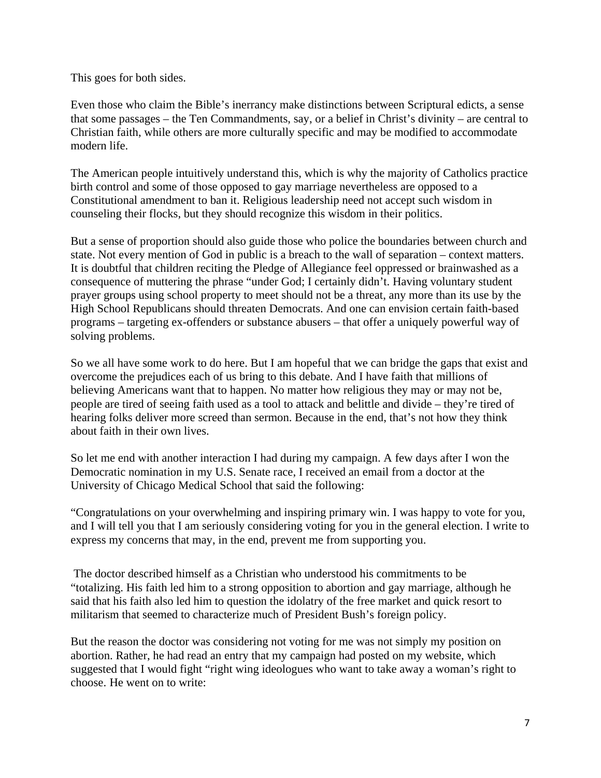This goes for both sides.

Even those who claim the Bible's inerrancy make distinctions between Scriptural edicts, a sense that some passages – the Ten Commandments, say, or a belief in Christ's divinity – are central to Christian faith, while others are more culturally specific and may be modified to accommodate modern life.

The American people intuitively understand this, which is why the majority of Catholics practice birth control and some of those opposed to gay marriage nevertheless are opposed to a Constitutional amendment to ban it. Religious leadership need not accept such wisdom in counseling their flocks, but they should recognize this wisdom in their politics.

But a sense of proportion should also guide those who police the boundaries between church and state. Not every mention of God in public is a breach to the wall of separation – context matters. It is doubtful that children reciting the Pledge of Allegiance feel oppressed or brainwashed as a consequence of muttering the phrase "under God; I certainly didn't. Having voluntary student prayer groups using school property to meet should not be a threat, any more than its use by the High School Republicans should threaten Democrats. And one can envision certain faith-based programs – targeting ex-offenders or substance abusers – that offer a uniquely powerful way of solving problems.

So we all have some work to do here. But I am hopeful that we can bridge the gaps that exist and overcome the prejudices each of us bring to this debate. And I have faith that millions of believing Americans want that to happen. No matter how religious they may or may not be, people are tired of seeing faith used as a tool to attack and belittle and divide – they're tired of hearing folks deliver more screed than sermon. Because in the end, that's not how they think about faith in their own lives.

So let me end with another interaction I had during my campaign. A few days after I won the Democratic nomination in my U.S. Senate race, I received an email from a doctor at the University of Chicago Medical School that said the following:

"Congratulations on your overwhelming and inspiring primary win. I was happy to vote for you, and I will tell you that I am seriously considering voting for you in the general election. I write to express my concerns that may, in the end, prevent me from supporting you.

 The doctor described himself as a Christian who understood his commitments to be "totalizing. His faith led him to a strong opposition to abortion and gay marriage, although he said that his faith also led him to question the idolatry of the free market and quick resort to militarism that seemed to characterize much of President Bush's foreign policy.

But the reason the doctor was considering not voting for me was not simply my position on abortion. Rather, he had read an entry that my campaign had posted on my website, which suggested that I would fight "right wing ideologues who want to take away a woman's right to choose. He went on to write: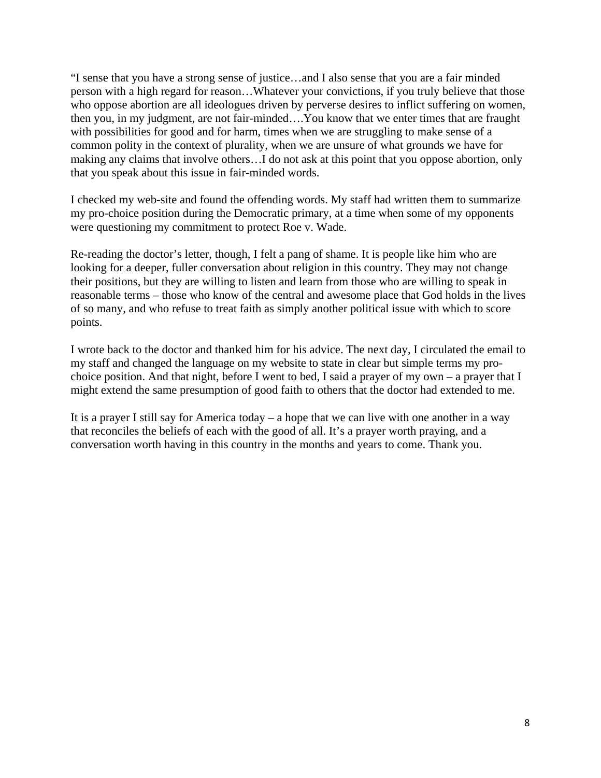"I sense that you have a strong sense of justice…and I also sense that you are a fair minded person with a high regard for reason…Whatever your convictions, if you truly believe that those who oppose abortion are all ideologues driven by perverse desires to inflict suffering on women, then you, in my judgment, are not fair-minded….You know that we enter times that are fraught with possibilities for good and for harm, times when we are struggling to make sense of a common polity in the context of plurality, when we are unsure of what grounds we have for making any claims that involve others…I do not ask at this point that you oppose abortion, only that you speak about this issue in fair-minded words.

I checked my web-site and found the offending words. My staff had written them to summarize my pro-choice position during the Democratic primary, at a time when some of my opponents were questioning my commitment to protect Roe v. Wade.

Re-reading the doctor's letter, though, I felt a pang of shame. It is people like him who are looking for a deeper, fuller conversation about religion in this country. They may not change their positions, but they are willing to listen and learn from those who are willing to speak in reasonable terms – those who know of the central and awesome place that God holds in the lives of so many, and who refuse to treat faith as simply another political issue with which to score points.

I wrote back to the doctor and thanked him for his advice. The next day, I circulated the email to my staff and changed the language on my website to state in clear but simple terms my prochoice position. And that night, before I went to bed, I said a prayer of my own – a prayer that I might extend the same presumption of good faith to others that the doctor had extended to me.

It is a prayer I still say for America today – a hope that we can live with one another in a way that reconciles the beliefs of each with the good of all. It's a prayer worth praying, and a conversation worth having in this country in the months and years to come. Thank you.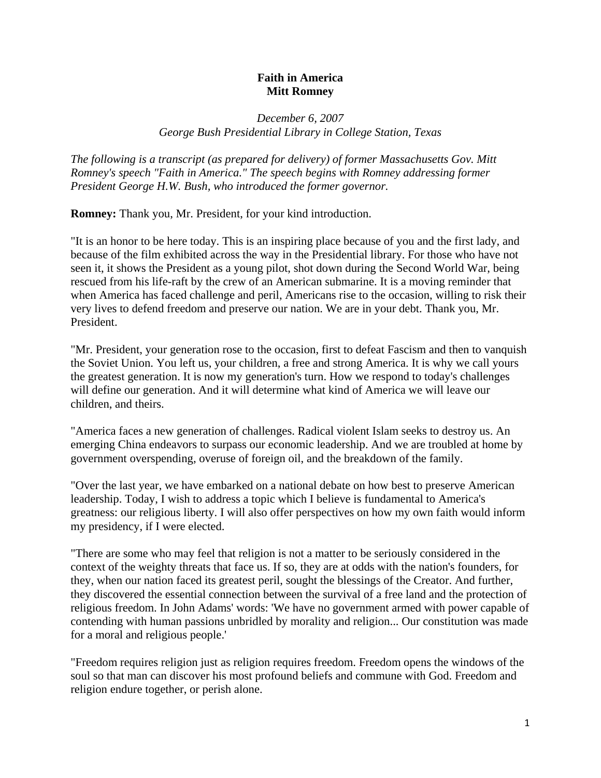#### **Faith in America Mitt Romney**

#### *December 6, 2007 George Bush Presidential Library in College Station, Texas*

*The following is a transcript (as prepared for delivery) of former Massachusetts Gov. Mitt Romney's speech "Faith in America." The speech begins with Romney addressing former President George H.W. Bush, who introduced the former governor.*

**Romney:** Thank you, Mr. President, for your kind introduction.

"It is an honor to be here today. This is an inspiring place because of you and the first lady, and because of the film exhibited across the way in the Presidential library. For those who have not seen it, it shows the President as a young pilot, shot down during the Second World War, being rescued from his life-raft by the crew of an American submarine. It is a moving reminder that when America has faced challenge and peril, Americans rise to the occasion, willing to risk their very lives to defend freedom and preserve our nation. We are in your debt. Thank you, Mr. President.

"Mr. President, your generation rose to the occasion, first to defeat Fascism and then to vanquish the Soviet Union. You left us, your children, a free and strong America. It is why we call yours the greatest generation. It is now my generation's turn. How we respond to today's challenges will define our generation. And it will determine what kind of America we will leave our children, and theirs.

"America faces a new generation of challenges. Radical violent Islam seeks to destroy us. An emerging China endeavors to surpass our economic leadership. And we are troubled at home by government overspending, overuse of foreign oil, and the breakdown of the family.

"Over the last year, we have embarked on a national debate on how best to preserve American leadership. Today, I wish to address a topic which I believe is fundamental to America's greatness: our religious liberty. I will also offer perspectives on how my own faith would inform my presidency, if I were elected.

"There are some who may feel that religion is not a matter to be seriously considered in the context of the weighty threats that face us. If so, they are at odds with the nation's founders, for they, when our nation faced its greatest peril, sought the blessings of the Creator. And further, they discovered the essential connection between the survival of a free land and the protection of religious freedom. In John Adams' words: 'We have no government armed with power capable of contending with human passions unbridled by morality and religion... Our constitution was made for a moral and religious people.'

"Freedom requires religion just as religion requires freedom. Freedom opens the windows of the soul so that man can discover his most profound beliefs and commune with God. Freedom and religion endure together, or perish alone.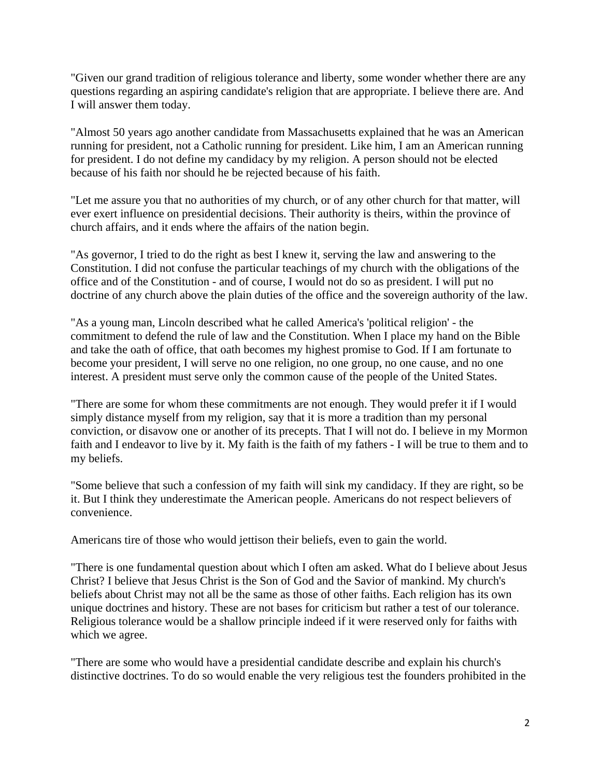"Given our grand tradition of religious tolerance and liberty, some wonder whether there are any questions regarding an aspiring candidate's religion that are appropriate. I believe there are. And I will answer them today.

"Almost 50 years ago another candidate from Massachusetts explained that he was an American running for president, not a Catholic running for president. Like him, I am an American running for president. I do not define my candidacy by my religion. A person should not be elected because of his faith nor should he be rejected because of his faith.

"Let me assure you that no authorities of my church, or of any other church for that matter, will ever exert influence on presidential decisions. Their authority is theirs, within the province of church affairs, and it ends where the affairs of the nation begin.

"As governor, I tried to do the right as best I knew it, serving the law and answering to the Constitution. I did not confuse the particular teachings of my church with the obligations of the office and of the Constitution - and of course, I would not do so as president. I will put no doctrine of any church above the plain duties of the office and the sovereign authority of the law.

"As a young man, Lincoln described what he called America's 'political religion' - the commitment to defend the rule of law and the Constitution. When I place my hand on the Bible and take the oath of office, that oath becomes my highest promise to God. If I am fortunate to become your president, I will serve no one religion, no one group, no one cause, and no one interest. A president must serve only the common cause of the people of the United States.

"There are some for whom these commitments are not enough. They would prefer it if I would simply distance myself from my religion, say that it is more a tradition than my personal conviction, or disavow one or another of its precepts. That I will not do. I believe in my Mormon faith and I endeavor to live by it. My faith is the faith of my fathers - I will be true to them and to my beliefs.

"Some believe that such a confession of my faith will sink my candidacy. If they are right, so be it. But I think they underestimate the American people. Americans do not respect believers of convenience.

Americans tire of those who would jettison their beliefs, even to gain the world.

"There is one fundamental question about which I often am asked. What do I believe about Jesus Christ? I believe that Jesus Christ is the Son of God and the Savior of mankind. My church's beliefs about Christ may not all be the same as those of other faiths. Each religion has its own unique doctrines and history. These are not bases for criticism but rather a test of our tolerance. Religious tolerance would be a shallow principle indeed if it were reserved only for faiths with which we agree.

"There are some who would have a presidential candidate describe and explain his church's distinctive doctrines. To do so would enable the very religious test the founders prohibited in the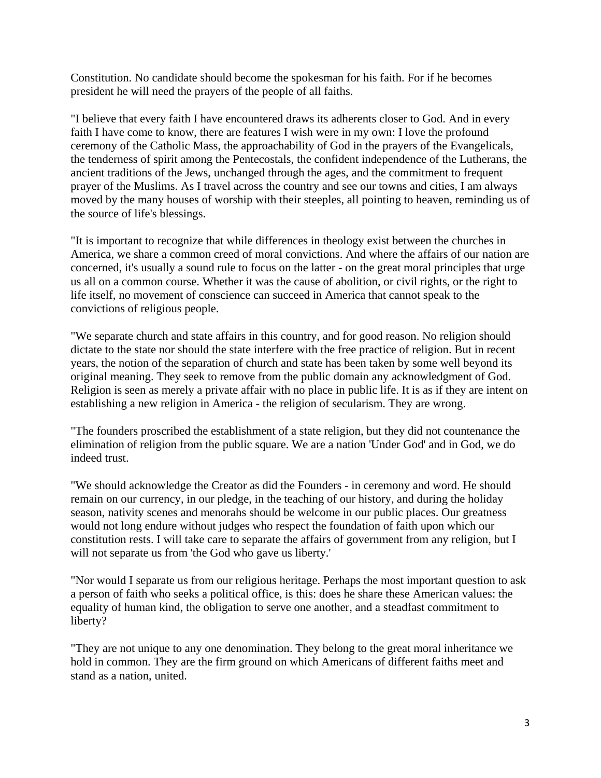Constitution. No candidate should become the spokesman for his faith. For if he becomes president he will need the prayers of the people of all faiths.

"I believe that every faith I have encountered draws its adherents closer to God. And in every faith I have come to know, there are features I wish were in my own: I love the profound ceremony of the Catholic Mass, the approachability of God in the prayers of the Evangelicals, the tenderness of spirit among the Pentecostals, the confident independence of the Lutherans, the ancient traditions of the Jews, unchanged through the ages, and the commitment to frequent prayer of the Muslims. As I travel across the country and see our towns and cities, I am always moved by the many houses of worship with their steeples, all pointing to heaven, reminding us of the source of life's blessings.

"It is important to recognize that while differences in theology exist between the churches in America, we share a common creed of moral convictions. And where the affairs of our nation are concerned, it's usually a sound rule to focus on the latter - on the great moral principles that urge us all on a common course. Whether it was the cause of abolition, or civil rights, or the right to life itself, no movement of conscience can succeed in America that cannot speak to the convictions of religious people.

"We separate church and state affairs in this country, and for good reason. No religion should dictate to the state nor should the state interfere with the free practice of religion. But in recent years, the notion of the separation of church and state has been taken by some well beyond its original meaning. They seek to remove from the public domain any acknowledgment of God. Religion is seen as merely a private affair with no place in public life. It is as if they are intent on establishing a new religion in America - the religion of secularism. They are wrong.

"The founders proscribed the establishment of a state religion, but they did not countenance the elimination of religion from the public square. We are a nation 'Under God' and in God, we do indeed trust.

"We should acknowledge the Creator as did the Founders - in ceremony and word. He should remain on our currency, in our pledge, in the teaching of our history, and during the holiday season, nativity scenes and menorahs should be welcome in our public places. Our greatness would not long endure without judges who respect the foundation of faith upon which our constitution rests. I will take care to separate the affairs of government from any religion, but I will not separate us from 'the God who gave us liberty.'

"Nor would I separate us from our religious heritage. Perhaps the most important question to ask a person of faith who seeks a political office, is this: does he share these American values: the equality of human kind, the obligation to serve one another, and a steadfast commitment to liberty?

"They are not unique to any one denomination. They belong to the great moral inheritance we hold in common. They are the firm ground on which Americans of different faiths meet and stand as a nation, united.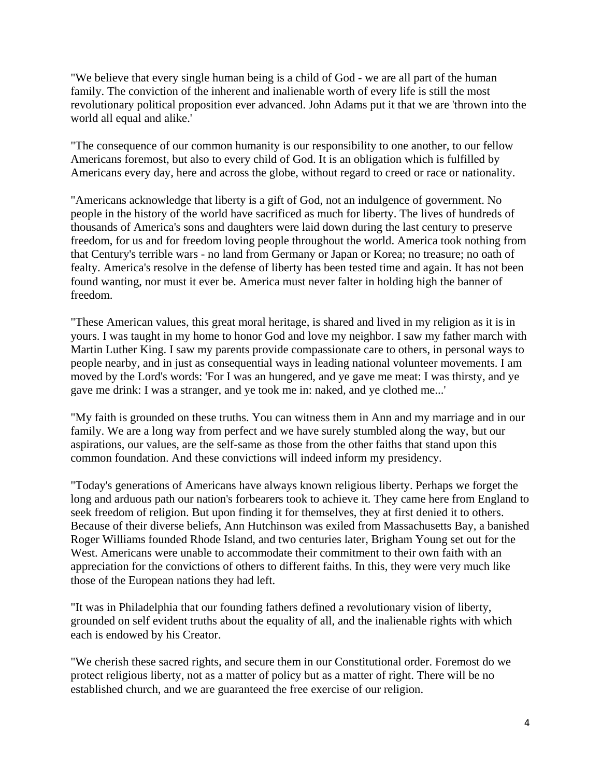"We believe that every single human being is a child of God - we are all part of the human family. The conviction of the inherent and inalienable worth of every life is still the most revolutionary political proposition ever advanced. John Adams put it that we are 'thrown into the world all equal and alike.'

"The consequence of our common humanity is our responsibility to one another, to our fellow Americans foremost, but also to every child of God. It is an obligation which is fulfilled by Americans every day, here and across the globe, without regard to creed or race or nationality.

"Americans acknowledge that liberty is a gift of God, not an indulgence of government. No people in the history of the world have sacrificed as much for liberty. The lives of hundreds of thousands of America's sons and daughters were laid down during the last century to preserve freedom, for us and for freedom loving people throughout the world. America took nothing from that Century's terrible wars - no land from Germany or Japan or Korea; no treasure; no oath of fealty. America's resolve in the defense of liberty has been tested time and again. It has not been found wanting, nor must it ever be. America must never falter in holding high the banner of freedom.

"These American values, this great moral heritage, is shared and lived in my religion as it is in yours. I was taught in my home to honor God and love my neighbor. I saw my father march with Martin Luther King. I saw my parents provide compassionate care to others, in personal ways to people nearby, and in just as consequential ways in leading national volunteer movements. I am moved by the Lord's words: 'For I was an hungered, and ye gave me meat: I was thirsty, and ye gave me drink: I was a stranger, and ye took me in: naked, and ye clothed me...'

"My faith is grounded on these truths. You can witness them in Ann and my marriage and in our family. We are a long way from perfect and we have surely stumbled along the way, but our aspirations, our values, are the self-same as those from the other faiths that stand upon this common foundation. And these convictions will indeed inform my presidency.

"Today's generations of Americans have always known religious liberty. Perhaps we forget the long and arduous path our nation's forbearers took to achieve it. They came here from England to seek freedom of religion. But upon finding it for themselves, they at first denied it to others. Because of their diverse beliefs, Ann Hutchinson was exiled from Massachusetts Bay, a banished Roger Williams founded Rhode Island, and two centuries later, Brigham Young set out for the West. Americans were unable to accommodate their commitment to their own faith with an appreciation for the convictions of others to different faiths. In this, they were very much like those of the European nations they had left.

"It was in Philadelphia that our founding fathers defined a revolutionary vision of liberty, grounded on self evident truths about the equality of all, and the inalienable rights with which each is endowed by his Creator.

"We cherish these sacred rights, and secure them in our Constitutional order. Foremost do we protect religious liberty, not as a matter of policy but as a matter of right. There will be no established church, and we are guaranteed the free exercise of our religion.